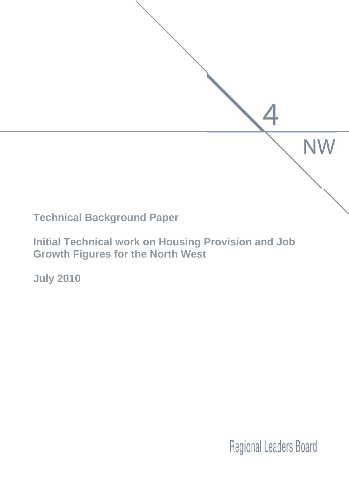

**Initial Technical work on Housing Provision and Job Growth Figures for the North West** 

**July 2010** 

**Regional Leaders Board**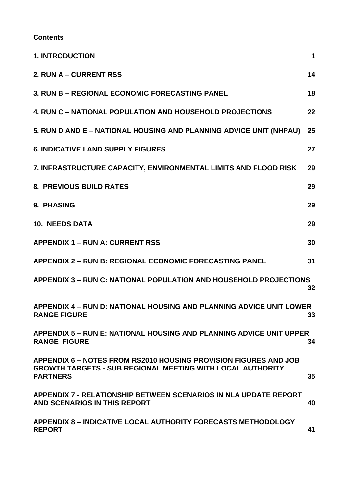### **Contents**

| <b>1. INTRODUCTION</b>                                                                                                                                   | 1   |
|----------------------------------------------------------------------------------------------------------------------------------------------------------|-----|
| 2. RUN A - CURRENT RSS                                                                                                                                   | 14  |
| 3. RUN B - REGIONAL ECONOMIC FORECASTING PANEL                                                                                                           | 18  |
| <b>4. RUN C - NATIONAL POPULATION AND HOUSEHOLD PROJECTIONS</b>                                                                                          | 22  |
| 5. RUN D AND E - NATIONAL HOUSING AND PLANNING ADVICE UNIT (NHPAU)                                                                                       | 25  |
| <b>6. INDICATIVE LAND SUPPLY FIGURES</b>                                                                                                                 | 27  |
| 7. INFRASTRUCTURE CAPACITY, ENVIRONMENTAL LIMITS AND FLOOD RISK                                                                                          | 29  |
| <b>8. PREVIOUS BUILD RATES</b>                                                                                                                           | 29  |
| 9. PHASING                                                                                                                                               | 29  |
| <b>10. NEEDS DATA</b>                                                                                                                                    | 29  |
| <b>APPENDIX 1 - RUN A: CURRENT RSS</b>                                                                                                                   | 30  |
| <b>APPENDIX 2 - RUN B: REGIONAL ECONOMIC FORECASTING PANEL</b>                                                                                           | 31  |
| APPENDIX 3 - RUN C: NATIONAL POPULATION AND HOUSEHOLD PROJECTIONS                                                                                        | 32  |
| APPENDIX 4 - RUN D: NATIONAL HOUSING AND PLANNING ADVICE UNIT LOWER<br><b>RANGE FIGURE</b>                                                               | 33. |
| APPENDIX 5 - RUN E: NATIONAL HOUSING AND PLANNING ADVICE UNIT UPPER<br><b>RANGE FIGURE</b>                                                               | 34  |
| APPENDIX 6 - NOTES FROM RS2010 HOUSING PROVISION FIGURES AND JOB<br><b>GROWTH TARGETS - SUB REGIONAL MEETING WITH LOCAL AUTHORITY</b><br><b>PARTNERS</b> | 35  |
| <b>APPENDIX 7 - RELATIONSHIP BETWEEN SCENARIOS IN NLA UPDATE REPORT</b><br>AND SCENARIOS IN THIS REPORT                                                  | 40  |
| <b>APPENDIX 8-INDICATIVE LOCAL AUTHORITY FORECASTS METHODOLOGY</b><br><b>REPORT</b>                                                                      | 41  |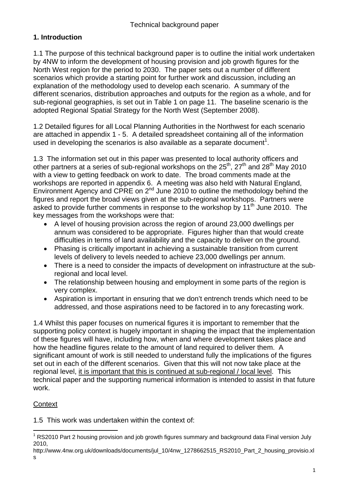## **1. Introduction**

1.1 The purpose of this technical background paper is to outline the initial work undertaken by 4NW to inform the development of housing provision and job growth figures for the North West region for the period to 2030. The paper sets out a number of different scenarios which provide a starting point for further work and discussion, including an explanation of the methodology used to develop each scenario. A summary of the different scenarios, distribution approaches and outputs for the region as a whole, and for sub-regional geographies, is set out in Table 1 on page 11. The baseline scenario is the adopted Regional Spatial Strategy for the North West (September 2008).

1.2 Detailed figures for all Local Planning Authorities in the Northwest for each scenario are attached in appendix 1 - 5. A detailed spreadsheet containing all of the information used in developing the scenarios is also available as a separate document<sup>1</sup>.

1.3 The information set out in this paper was presented to local authority officers and other partners at a series of sub-regional workshops on the  $25<sup>th</sup>$ ,  $27<sup>th</sup>$  and  $28<sup>th</sup>$  May 2010 with a view to getting feedback on work to date. The broad comments made at the workshops are reported in appendix 6. A meeting was also held with Natural England, Environment Agency and CPRE on 2<sup>nd</sup> June 2010 to outline the methodology behind the figures and report the broad views given at the sub-regional workshops. Partners were asked to provide further comments in response to the workshop by  $11<sup>th</sup>$  June 2010. The key messages from the workshops were that:

- A level of housing provision across the region of around 23,000 dwellings per annum was considered to be appropriate. Figures higher than that would create difficulties in terms of land availability and the capacity to deliver on the ground.
- Phasing is critically important in achieving a sustainable transition from current levels of delivery to levels needed to achieve 23,000 dwellings per annum.
- There is a need to consider the impacts of development on infrastructure at the subregional and local level.
- The relationship between housing and employment in some parts of the region is very complex.
- Aspiration is important in ensuring that we don't entrench trends which need to be addressed, and those aspirations need to be factored in to any forecasting work.

1.4 Whilst this paper focuses on numerical figures it is important to remember that the supporting policy context is hugely important in shaping the impact that the implementation of these figures will have, including how, when and where development takes place and how the headline figures relate to the amount of land required to deliver them. A significant amount of work is still needed to understand fully the implications of the figures set out in each of the different scenarios. Given that this will not now take place at the regional level, it is important that this is continued at sub-regional / local level. This technical paper and the supporting numerical information is intended to assist in that future work.

## **Context**

1.5 This work was undertaken within the context of:

 $\overline{a}$ <sup>1</sup> RS2010 Part 2 housing provision and job growth figures summary and background data Final version July 2010,

http://www.4nw.org.uk/downloads/documents/jul\_10/4nw\_1278662515\_RS2010\_Part\_2\_housing\_provisio.xl s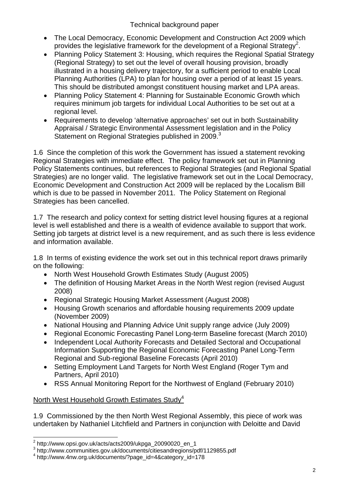- The Local Democracy, Economic Development and Construction Act 2009 which provides the legislative framework for the development of a Regional Strategy<sup>2</sup>.
- Planning Policy Statement 3: Housing, which requires the Regional Spatial Strategy (Regional Strategy) to set out the level of overall housing provision, broadly illustrated in a housing delivery trajectory, for a sufficient period to enable Local Planning Authorities (LPA) to plan for housing over a period of at least 15 years. This should be distributed amongst constituent housing market and LPA areas.
- Planning Policy Statement 4: Planning for Sustainable Economic Growth which requires minimum job targets for individual Local Authorities to be set out at a regional level.
- Requirements to develop 'alternative approaches' set out in both Sustainability Appraisal / Strategic Environmental Assessment legislation and in the Policy Statement on Regional Strategies published in 2009.<sup>3</sup>

1.6 Since the completion of this work the Government has issued a statement revoking Regional Strategies with immediate effect. The policy framework set out in Planning Policy Statements continues, but references to Regional Strategies (and Regional Spatial Strategies) are no longer valid. The legislative framework set out in the Local Democracy, Economic Development and Construction Act 2009 will be replaced by the Localism Bill which is due to be passed in November 2011. The Policy Statement on Regional Strategies has been cancelled.

1.7 The research and policy context for setting district level housing figures at a regional level is well established and there is a wealth of evidence available to support that work. Setting job targets at district level is a new requirement, and as such there is less evidence and information available.

1.8 In terms of existing evidence the work set out in this technical report draws primarily on the following:

- North West Household Growth Estimates Study (August 2005)
- The definition of Housing Market Areas in the North West region (revised August 2008)
- Regional Strategic Housing Market Assessment (August 2008)
- Housing Growth scenarios and affordable housing requirements 2009 update (November 2009)
- National Housing and Planning Advice Unit supply range advice (July 2009)
- Regional Economic Forecasting Panel Long-term Baseline forecast (March 2010)
- Independent Local Authority Forecasts and Detailed Sectoral and Occupational Information Supporting the Regional Economic Forecasting Panel Long-Term Regional and Sub-regional Baseline Forecasts (April 2010)
- Setting Employment Land Targets for North West England (Roger Tym and Partners, April 2010)
- RSS Annual Monitoring Report for the Northwest of England (February 2010)

## North West Household Growth Estimates Study<sup>4</sup>

1.9 Commissioned by the then North West Regional Assembly, this piece of work was undertaken by Nathaniel Litchfield and Partners in conjunction with Deloitte and David

 2 http://www.opsi.gov.uk/acts/acts2009/ukpga\_20090020\_en\_1

 $^3$  http://www.communities.gov.uk/documents/citiesandregions/pdf/1129855.pdf<br> $^4$  http://www.4pw.org.uk/documents/2page.id=48.ottogory.id=179

http://www.4nw.org.uk/documents/?page\_id=4&category\_id=178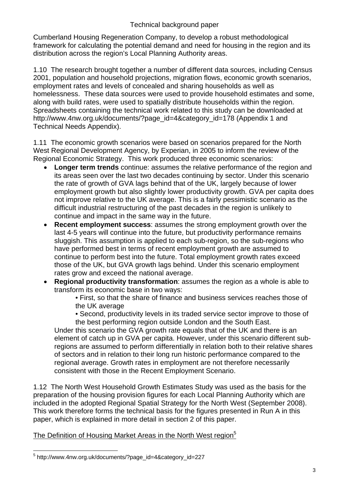Cumberland Housing Regeneration Company, to develop a robust methodological framework for calculating the potential demand and need for housing in the region and its distribution across the region's Local Planning Authority areas.

1.10 The research brought together a number of different data sources, including Census 2001, population and household projections, migration flows, economic growth scenarios, employment rates and levels of concealed and sharing households as well as homelessness. These data sources were used to provide household estimates and some, along with build rates, were used to spatially distribute households within the region. Spreadsheets containing the technical work related to this study can be downloaded at http://www.4nw.org.uk/documents/?page\_id=4&category\_id=178 (Appendix 1 and Technical Needs Appendix).

1.11 The economic growth scenarios were based on scenarios prepared for the North West Regional Development Agency, by Experian, in 2005 to inform the review of the Regional Economic Strategy. This work produced three economic scenarios:

- **Longer term trends** continue: assumes the relative performance of the region and its areas seen over the last two decades continuing by sector. Under this scenario the rate of growth of GVA lags behind that of the UK, largely because of lower employment growth but also slightly lower productivity growth. GVA per capita does not improve relative to the UK average. This is a fairly pessimistic scenario as the difficult industrial restructuring of the past decades in the region is unlikely to continue and impact in the same way in the future.
- **Recent employment success**: assumes the strong employment growth over the last 4-5 years will continue into the future, but productivity performance remains sluggish. This assumption is applied to each sub-region, so the sub-regions who have performed best in terms of recent employment growth are assumed to continue to perform best into the future. Total employment growth rates exceed those of the UK, but GVA growth lags behind. Under this scenario employment rates grow and exceed the national average.
- **Regional productivity transformation**: assumes the region as a whole is able to transform its economic base in two ways:

• First, so that the share of finance and business services reaches those of the UK average

• Second, productivity levels in its traded service sector improve to those of the best performing region outside London and the South East.

Under this scenario the GVA growth rate equals that of the UK and there is an element of catch up in GVA per capita. However, under this scenario different subregions are assumed to perform differentially in relation both to their relative shares of sectors and in relation to their long run historic performance compared to the regional average. Growth rates in employment are not therefore necessarily consistent with those in the Recent Employment Scenario.

1.12 The North West Household Growth Estimates Study was used as the basis for the preparation of the housing provision figures for each Local Planning Authority which are included in the adopted Regional Spatial Strategy for the North West (September 2008). This work therefore forms the technical basis for the figures presented in Run A in this paper, which is explained in more detail in section 2 of this paper.

## The Definition of Housing Market Areas in the North West region<sup>5</sup>

 $\overline{a}$ 5 http://www.4nw.org.uk/documents/?page\_id=4&category\_id=227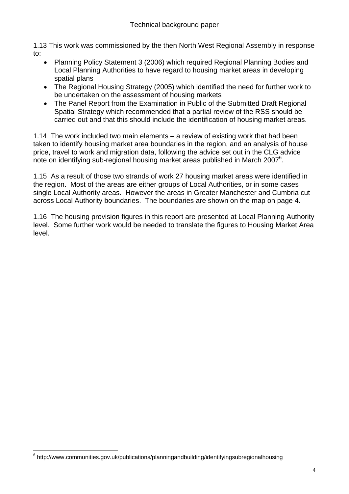1.13 This work was commissioned by the then North West Regional Assembly in response to:

- Planning Policy Statement 3 (2006) which required Regional Planning Bodies and Local Planning Authorities to have regard to housing market areas in developing spatial plans
- The Regional Housing Strategy (2005) which identified the need for further work to be undertaken on the assessment of housing markets
- The Panel Report from the Examination in Public of the Submitted Draft Regional Spatial Strategy which recommended that a partial review of the RSS should be carried out and that this should include the identification of housing market areas.

1.14 The work included two main elements – a review of existing work that had been taken to identify housing market area boundaries in the region, and an analysis of house price, travel to work and migration data, following the advice set out in the CLG advice note on identifying sub-regional housing market areas published in March 2007<sup>6</sup>.

1.15 As a result of those two strands of work 27 housing market areas were identified in the region. Most of the areas are either groups of Local Authorities, or in some cases single Local Authority areas. However the areas in Greater Manchester and Cumbria cut across Local Authority boundaries. The boundaries are shown on the map on page 4.

1.16 The housing provision figures in this report are presented at Local Planning Authority level. Some further work would be needed to translate the figures to Housing Market Area level.

 $\overline{a}$ <sup>6</sup> http://www.communities.gov.uk/publications/planningandbuilding/identifyingsubregionalhousing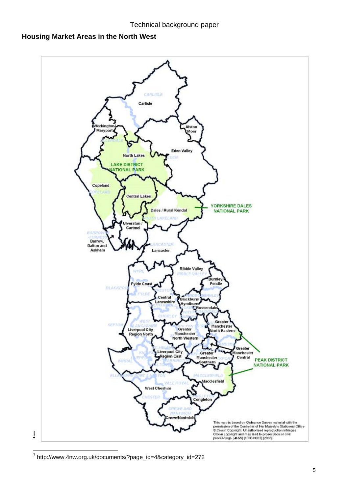## **Housing Market Areas in the North West**

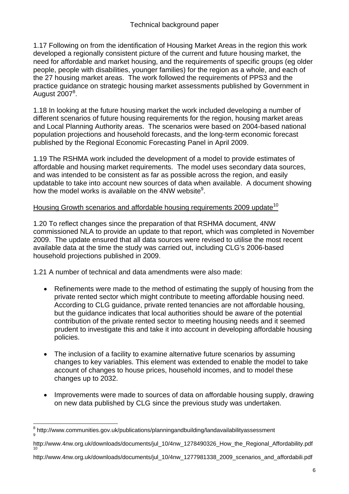1.17 Following on from the identification of Housing Market Areas in the region this work developed a regionally consistent picture of the current and future housing market, the need for affordable and market housing, and the requirements of specific groups (eg older people, people with disabilities, younger families) for the region as a whole, and each of the 27 housing market areas. The work followed the requirements of PPS3 and the practice guidance on strategic housing market assessments published by Government in  $\mathrm{\dot{A}}$ ugust 2007 $^8$ .

1.18 In looking at the future housing market the work included developing a number of different scenarios of future housing requirements for the region, housing market areas and Local Planning Authority areas. The scenarios were based on 2004-based national population projections and household forecasts, and the long-term economic forecast published by the Regional Economic Forecasting Panel in April 2009.

1.19 The RSHMA work included the development of a model to provide estimates of affordable and housing market requirements. The model uses secondary data sources, and was intended to be consistent as far as possible across the region, and easily updatable to take into account new sources of data when available. A document showing how the model works is available on the 4NW website<sup>9</sup>.

## Housing Growth scenarios and affordable housing requirements 2009 update<sup>10</sup>

1.20 To reflect changes since the preparation of that RSHMA document, 4NW commissioned NLA to provide an update to that report, which was completed in November 2009. The update ensured that all data sources were revised to utilise the most recent available data at the time the study was carried out, including CLG's 2006-based household projections published in 2009.

1.21 A number of technical and data amendments were also made:

- Refinements were made to the method of estimating the supply of housing from the private rented sector which might contribute to meeting affordable housing need. According to CLG guidance, private rented tenancies are not affordable housing, but the guidance indicates that local authorities should be aware of the potential contribution of the private rented sector to meeting housing needs and it seemed prudent to investigate this and take it into account in developing affordable housing policies.
- The inclusion of a facility to examine alternative future scenarios by assuming changes to key variables. This element was extended to enable the model to take account of changes to house prices, household incomes, and to model these changes up to 2032.
- Improvements were made to sources of data on affordable housing supply, drawing on new data published by CLG since the previous study was undertaken.

<sup>8&</sup>lt;br><sup>8</sup> http://www.communities.gov.uk/publications/planningandbuilding/landavailabilityassessment

http://www.4nw.org.uk/downloads/documents/jul\_10/4nw\_1278490326\_How\_the\_Regional\_Affordability.pdf

http://www.4nw.org.uk/downloads/documents/jul\_10/4nw\_1277981338\_2009\_scenarios\_and\_affordabili.pdf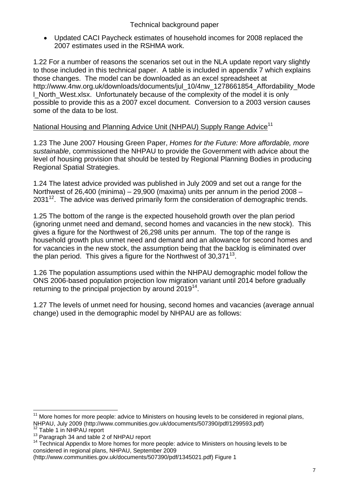• Updated CACI Paycheck estimates of household incomes for 2008 replaced the 2007 estimates used in the RSHMA work.

1.22 For a number of reasons the scenarios set out in the NLA update report vary slightly to those included in this technical paper. A table is included in appendix 7 which explains those changes. The model can be downloaded as an excel spreadsheet at http://www.4nw.org.uk/downloads/documents/jul\_10/4nw\_1278661854\_Affordability\_Mode I North West.xlsx. Unfortunately because of the complexity of the model it is only possible to provide this as a 2007 excel document. Conversion to a 2003 version causes some of the data to be lost.

## National Housing and Planning Advice Unit (NHPAU) Supply Range Advice<sup>11</sup>

1.23 The June 2007 Housing Green Paper, *Homes for the Future: More affordable, more sustainable*, commissioned the NHPAU to provide the Government with advice about the level of housing provision that should be tested by Regional Planning Bodies in producing Regional Spatial Strategies.

1.24 The latest advice provided was published in July 2009 and set out a range for the Northwest of 26,400 (minima) – 29,900 (maxima) units per annum in the period 2008 –  $2031^{12}$ . The advice was derived primarily form the consideration of demographic trends.

1.25 The bottom of the range is the expected household growth over the plan period (ignoring unmet need and demand, second homes and vacancies in the new stock). This gives a figure for the Northwest of 26,298 units per annum. The top of the range is household growth plus unmet need and demand and an allowance for second homes and for vacancies in the new stock, the assumption being that the backlog is eliminated over the plan period. This gives a figure for the Northwest of  $30.371^{13}$ .

1.26 The population assumptions used within the NHPAU demographic model follow the ONS 2006-based population projection low migration variant until 2014 before gradually returning to the principal projection by around  $2019^{14}$ .

1.27 The levels of unmet need for housing, second homes and vacancies (average annual change) used in the demographic model by NHPAU are as follows:

 $\overline{a}$ 

 $11$  More homes for more people: advice to Ministers on housing levels to be considered in regional plans, NHPAU, July 2009 (http://www.communities.gov.uk/documents/507390/pdf/1299593.pdf)<br><sup>12</sup> Table 1 in NHPAU report<br><sup>13</sup> Paragraph 34 and table 2 of NHPAU report<br><sup>14</sup> Technical Appendix to More homes for more people: advice to

considered in regional plans, NHPAU, September 2009

<sup>(</sup>http://www.communities.gov.uk/documents/507390/pdf/1345021.pdf) Figure 1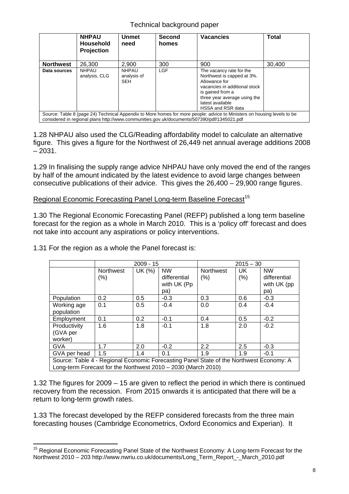|                                                                                                                                                                                                                        | <b>NHPAU</b><br>Household<br><b>Projection</b> | <b>Unmet</b><br>need                      | <b>Second</b><br>homes | <b>Vacancies</b>                                                                                                                                                                                      | <b>Total</b> |  |
|------------------------------------------------------------------------------------------------------------------------------------------------------------------------------------------------------------------------|------------------------------------------------|-------------------------------------------|------------------------|-------------------------------------------------------------------------------------------------------------------------------------------------------------------------------------------------------|--------------|--|
| <b>Northwest</b>                                                                                                                                                                                                       | 26,300                                         | 2,900                                     | 300                    | 900                                                                                                                                                                                                   | 30,400       |  |
| Data sources                                                                                                                                                                                                           | <b>NHPAU</b><br>analysis, CLG                  | <b>NHPAU</b><br>analysis of<br><b>SEH</b> | <b>LGF</b>             | The vacancy rate for the<br>Northwest is capped at 3%.<br>Allowance for<br>vacancies in additional stock<br>is gained from a<br>three year average using the<br>latest available<br>HSSA and RSR data |              |  |
| Source: Table 8 (page 24) Technical Appendix to More homes for more people: advice to Ministers on housing levels to be<br>considered in regional plans http://www.communities.gov.uk/documents/507390/pdf/1345021.pdf |                                                |                                           |                        |                                                                                                                                                                                                       |              |  |

1.28 NHPAU also used the CLG/Reading affordability model to calculate an alternative figure. This gives a figure for the Northwest of 26,449 net annual average additions 2008  $-2031.$ 

1.29 In finalising the supply range advice NHPAU have only moved the end of the ranges by half of the amount indicated by the latest evidence to avoid large changes between consecutive publications of their advice. This gives the 26,400 – 29,900 range figures.

#### Regional Economic Forecasting Panel Long-term Baseline Forecast<sup>15</sup>

1.30 The Regional Economic Forecasting Panel (REFP) published a long term baseline forecast for the region as a whole in March 2010. This is a 'policy off' forecast and does not take into account any aspirations or policy interventions.

|                                                                                                                                                            |                             | $2009 - 15$ |                                                 | $2015 - 30$              |             |                                                 |
|------------------------------------------------------------------------------------------------------------------------------------------------------------|-----------------------------|-------------|-------------------------------------------------|--------------------------|-------------|-------------------------------------------------|
|                                                                                                                                                            | <b>Northwest</b><br>$(\% )$ | UK (%)      | <b>NW</b><br>differential<br>with UK (Pp<br>pa) | <b>Northwest</b><br>(% ) | UK.<br>(% ) | <b>NW</b><br>differential<br>with UK (pp<br>pa) |
| Population                                                                                                                                                 | 0.2                         | 0.5         | $-0.3$                                          | 0.3                      | 0.6         | $-0.3$                                          |
| Working age<br>population                                                                                                                                  | 0.1                         | 0.5         | $-0.4$                                          | 0.0                      | 0.4         | $-0.4$                                          |
| Employment                                                                                                                                                 | 0.1                         | 0.2         | $-0.1$                                          | 0.4                      | 0.5         | $-0.2$                                          |
| Productivity<br>(GVA per<br>worker)                                                                                                                        | 1.6                         | 1.8         | $-0.1$                                          | 1.8                      | 2.0         | $-0.2$                                          |
| <b>GVA</b>                                                                                                                                                 | 1.7                         | 2.0         | $-0.2$                                          | 2.2                      | 2.5         | $-0.3$                                          |
| GVA per head                                                                                                                                               | 1.5                         | 1.4         | 0.1                                             | 1.9                      | 1.9         | $-0.1$                                          |
| Source: Table 4 - Regional Economic Forecasting Panel State of the Northwest Economy: A<br>Long-term Forecast for the Northwest $2010 - 2030$ (March 2010) |                             |             |                                                 |                          |             |                                                 |

1.31 For the region as a whole the Panel forecast is:

1.32 The figures for 2009 – 15 are given to reflect the period in which there is continued recovery from the recession. From 2015 onwards it is anticipated that there will be a return to long-term growth rates.

1.33 The forecast developed by the REFP considered forecasts from the three main forecasting houses (Cambridge Econometrics, Oxford Economics and Experian). It

 $\overline{a}$ <sup>15</sup> Regional Economic Forecasting Panel State of the Northwest Economy: A Long-term Forecast for the Northwest 2010 – 203 http://www.nwriu.co.uk/documents/Long\_Term\_Report\_-\_March\_2010.pdf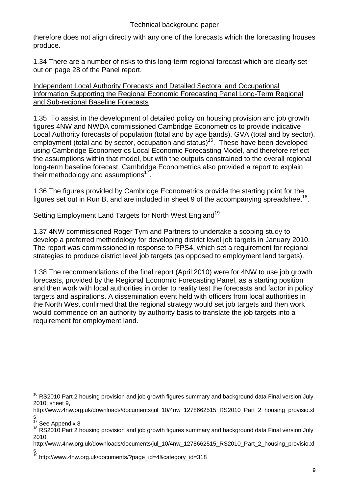therefore does not align directly with any one of the forecasts which the forecasting houses produce.

1.34 There are a number of risks to this long-term regional forecast which are clearly set out on page 28 of the Panel report.

Independent Local Authority Forecasts and Detailed Sectoral and Occupational Information Supporting the Regional Economic Forecasting Panel Long-Term Regional and Sub-regional Baseline Forecasts

1.35 To assist in the development of detailed policy on housing provision and job growth figures 4NW and NWDA commissioned Cambridge Econometrics to provide indicative Local Authority forecasts of population (total and by age bands), GVA (total and by sector), employment (total and by sector, occupation and status)<sup>16</sup>. These have been developed using Cambridge Econometrics Local Economic Forecasting Model, and therefore reflect the assumptions within that model, but with the outputs constrained to the overall regional long-term baseline forecast. Cambridge Econometrics also provided a report to explain their methodology and assumptions<sup>17</sup>.

1.36 The figures provided by Cambridge Econometrics provide the starting point for the figures set out in Run B, and are included in sheet 9 of the accompanying spreadsheet<sup>18</sup>.

## Setting Employment Land Targets for North West England<sup>19</sup>

1.37 4NW commissioned Roger Tym and Partners to undertake a scoping study to develop a preferred methodology for developing district level job targets in January 2010. The report was commissioned in response to PPS4, which set a requirement for regional strategies to produce district level job targets (as opposed to employment land targets).

1.38 The recommendations of the final report (April 2010) were for 4NW to use job growth forecasts, provided by the Regional Economic Forecasting Panel, as a starting position and then work with local authorities in order to reality test the forecasts and factor in policy targets and aspirations. A dissemination event held with officers from local authorities in the North West confirmed that the regional strategy would set job targets and then work would commence on an authority by authority basis to translate the job targets into a requirement for employment land.

 $\overline{a}$ <sup>16</sup> RS2010 Part 2 housing provision and job growth figures summary and background data Final version July 2010, sheet 9,

http://www.4nw.org.uk/downloads/documents/jul\_10/4nw\_1278662515\_RS2010\_Part\_2\_housing\_provisio.xl

s<br> $17$  See Appendix 8

<sup>&</sup>lt;sup>18</sup> RS2010 Part 2 housing provision and job growth figures summary and background data Final version July 2010,

http://www.4nw.org.uk/downloads/documents/jul\_10/4nw\_1278662515\_RS2010\_Part\_2\_housing\_provisio.xl s

<sup>&</sup>lt;sup>19</sup> http://www.4nw.org.uk/documents/?page\_id=4&category\_id=318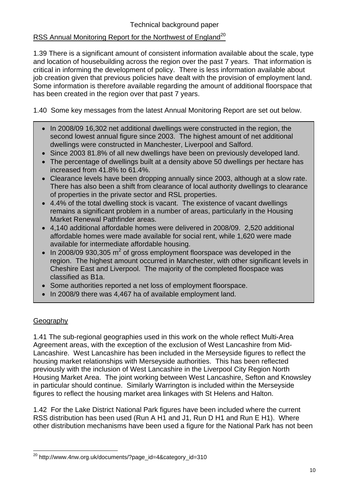## RSS Annual Monitoring Report for the Northwest of England<sup>20</sup>

1.39 There is a significant amount of consistent information available about the scale, type and location of housebuilding across the region over the past 7 years. That information is critical in informing the development of policy. There is less information available about job creation given that previous policies have dealt with the provision of employment land. Some information is therefore available regarding the amount of additional floorspace that has been created in the region over that past 7 years.

1.40 Some key messages from the latest Annual Monitoring Report are set out below.

- In 2008/09 16,302 net additional dwellings were constructed in the region, the second lowest annual figure since 2003. The highest amount of net additional dwellings were constructed in Manchester, Liverpool and Salford.
- Since 2003 81.8% of all new dwellings have been on previously developed land.
- The percentage of dwellings built at a density above 50 dwellings per hectare has increased from 41.8% to 61.4%.
- Clearance levels have been dropping annually since 2003, although at a slow rate. There has also been a shift from clearance of local authority dwellings to clearance of properties in the private sector and RSL properties.
- 4.4% of the total dwelling stock is vacant. The existence of vacant dwellings remains a significant problem in a number of areas, particularly in the Housing Market Renewal Pathfinder areas.
- 4,140 additional affordable homes were delivered in 2008/09. 2,520 additional affordable homes were made available for social rent, while 1,620 were made available for intermediate affordable housing.
- In 2008/09 930,305  $m^2$  of gross employment floorspace was developed in the region. The highest amount occurred in Manchester, with other significant levels in Cheshire East and Liverpool. The majority of the completed floospace was classified as B1a.
- Some authorities reported a net loss of employment floorspace.
- In 2008/9 there was 4,467 ha of available employment land.

## **Geography**

 $\overline{a}$ 

1.41 The sub-regional geographies used in this work on the whole reflect Multi-Area Agreement areas, with the exception of the exclusion of West Lancashire from Mid-Lancashire. West Lancashire has been included in the Merseyside figures to reflect the housing market relationships with Merseyside authorities. This has been reflected previously with the inclusion of West Lancashire in the Liverpool City Region North Housing Market Area. The joint working between West Lancashire, Sefton and Knowsley in particular should continue. Similarly Warrington is included within the Merseyside figures to reflect the housing market area linkages with St Helens and Halton.

1.42 For the Lake District National Park figures have been included where the current RSS distribution has been used (Run A H1 and J1, Run D H1 and Run E H1). Where other distribution mechanisms have been used a figure for the National Park has not been

<sup>20</sup> http://www.4nw.org.uk/documents/?page\_id=4&category\_id=310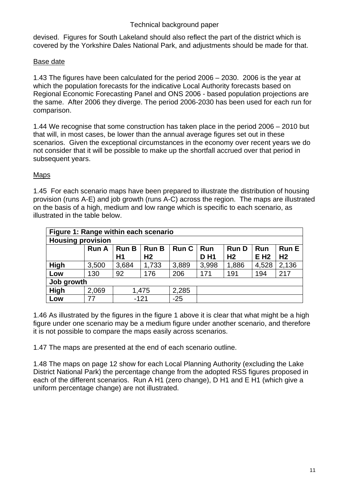devised. Figures for South Lakeland should also reflect the part of the district which is covered by the Yorkshire Dales National Park, and adjustments should be made for that.

## Base date

1.43 The figures have been calculated for the period 2006 – 2030. 2006 is the year at which the population forecasts for the indicative Local Authority forecasts based on Regional Economic Forecasting Panel and ONS 2006 - based population projections are the same. After 2006 they diverge. The period 2006-2030 has been used for each run for comparison.

1.44 We recognise that some construction has taken place in the period 2006 – 2010 but that will, in most cases, be lower than the annual average figures set out in these scenarios. Given the exceptional circumstances in the economy over recent years we do not consider that it will be possible to make up the shortfall accrued over that period in subsequent years.

## Maps

1.45 For each scenario maps have been prepared to illustrate the distribution of housing provision (runs A-E) and job growth (runs A-C) across the region. The maps are illustrated on the basis of a high, medium and low range which is specific to each scenario, as illustrated in the table below.

| Figure 1: Range within each scenario |              |              |                |              |            |                |            |                |
|--------------------------------------|--------------|--------------|----------------|--------------|------------|----------------|------------|----------------|
| <b>Housing provision</b>             |              |              |                |              |            |                |            |                |
|                                      | <b>Run A</b> | <b>Run B</b> | <b>Run B</b>   | <b>Run C</b> | <b>Run</b> | <b>RunD</b>    | <b>Run</b> | <b>Run E</b>   |
|                                      |              | H1           | H <sub>2</sub> |              | <b>DH1</b> | H <sub>2</sub> | <b>EH2</b> | H <sub>2</sub> |
| High                                 | 3,500        | 3,684        | 1,733          | 3,889        | 3,998      | 1,886          | 4,528      | 2,136          |
| Low                                  | 130          | 92           | 176            | 206          | 171        | 191            | 194        | 217            |
| Job growth                           |              |              |                |              |            |                |            |                |
| <b>High</b>                          | 2,069        | 1,475        |                | 2,285        |            |                |            |                |
| Low                                  | 77           | $-121$       |                | $-25$        |            |                |            |                |

1.46 As illustrated by the figures in the figure 1 above it is clear that what might be a high figure under one scenario may be a medium figure under another scenario, and therefore it is not possible to compare the maps easily across scenarios.

1.47 The maps are presented at the end of each scenario outline.

1.48 The maps on page 12 show for each Local Planning Authority (excluding the Lake District National Park) the percentage change from the adopted RSS figures proposed in each of the different scenarios. Run A H1 (zero change), D H1 and E H1 (which give a uniform percentage change) are not illustrated.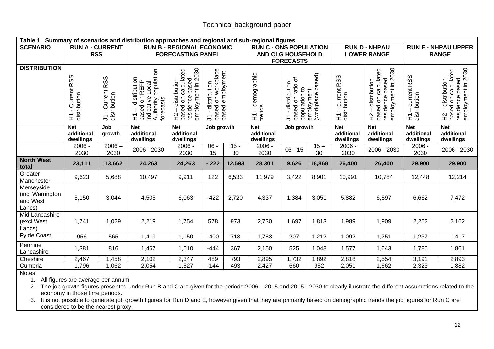|                                                      | Table 1: Summary of scenarios and distribution approaches and regional and sub-regional figures |                                             |                                                                                                             |                                                                                   |                                                                          |              |                                       |                                                                                                                             |                                                  |                                              |                                                                                   |                                            |                                                                                   |
|------------------------------------------------------|-------------------------------------------------------------------------------------------------|---------------------------------------------|-------------------------------------------------------------------------------------------------------------|-----------------------------------------------------------------------------------|--------------------------------------------------------------------------|--------------|---------------------------------------|-----------------------------------------------------------------------------------------------------------------------------|--------------------------------------------------|----------------------------------------------|-----------------------------------------------------------------------------------|--------------------------------------------|-----------------------------------------------------------------------------------|
| <b>SCENARIO</b>                                      | <b>RUN A - CURRENT</b><br><b>RSS</b>                                                            |                                             |                                                                                                             | <b>RUN B - REGIONAL ECONOMIC</b><br><b>FORECASTING PANEL</b>                      |                                                                          |              |                                       | <b>RUN C - ONS POPULATION</b><br><b>RUN D - NHPAU</b><br><b>LOWER RANGE</b><br><b>AND CLG HOUSEHOLD</b><br><b>FORECASTS</b> |                                                  |                                              |                                                                                   | <b>RUN E - NHPAU UPPER</b><br><b>RANGE</b> |                                                                                   |
| <b>DISTRIBUTION</b>                                  | <b>RSS</b><br>Current<br>distribution<br>도                                                      | Current RSS<br>J1 - Current<br>distribution | Authority population<br>forecasts<br>distribution<br>H1 - distribution<br>based on REFP<br>indicative Local | employment in 2030<br>based on calculated<br>residence based<br>distribution<br>오 | based on workplace<br>based employment<br>distribution<br>$\overline{z}$ |              | demographic<br>trends<br>도            | based on ratio of<br>distribution<br>Ξ                                                                                      | population to<br>employment<br>(workplace based) | current RSS<br>$H1 -$ curren<br>distribution | employment in 2030<br>based on calculated<br>residence based<br>distribution<br>오 | current RSS<br>distribution<br>도           | residence based<br>employment in 2030<br>based on calculated<br>distribution<br>오 |
|                                                      | <b>Net</b><br>additional<br>dwellings                                                           | Job<br>growth                               | <b>Net</b><br>additional<br>dwellings                                                                       | <b>Net</b><br>additional<br>dwellings                                             | Job growth                                                               |              | <b>Net</b><br>additional<br>dwellings | Job growth                                                                                                                  |                                                  | <b>Net</b><br>additional<br>dwellings        | <b>Net</b><br>additional<br>dwellings                                             | <b>Net</b><br>additional<br>dwellings      | <b>Net</b><br>additional<br>dwellings                                             |
|                                                      | $2006 -$<br>2030                                                                                | $2006 -$<br>2030                            | 2006 - 2030                                                                                                 | 2006 -<br>2030                                                                    | $06 -$<br>15                                                             | $15 -$<br>30 | 2006 -<br>2030                        | $06 - 15$                                                                                                                   | $15 -$<br>30                                     | $2006 -$<br>2030                             | 2006 - 2030                                                                       | 2006 -<br>2030                             | 2006 - 2030                                                                       |
| <b>North West</b><br>total                           | 23,111                                                                                          | 13,662                                      | 24,263                                                                                                      | 24,263                                                                            | $-222$                                                                   | 12,593       | 28,301                                | 9,626                                                                                                                       | 18,868                                           | 26,400                                       | 26,400                                                                            | 29,900                                     | 29,900                                                                            |
| Greater<br>Manchester                                | 9,623                                                                                           | 5,688                                       | 10,497                                                                                                      | 9,911                                                                             | 122                                                                      | 6,533        | 11,979                                | 3,422                                                                                                                       | 8,901                                            | 10,991                                       | 10,784                                                                            | 12,448                                     | 12,214                                                                            |
| Merseyside<br>(incl Warrington<br>and West<br>Lancs) | 5,150                                                                                           | 3,044                                       | 4,505                                                                                                       | 6,063                                                                             | $-422$                                                                   | 2,720        | 4,337                                 | 1,384                                                                                                                       | 3,051                                            | 5,882                                        | 6,597                                                                             | 6,662                                      | 7,472                                                                             |
| Mid Lancashire<br>(excl West<br>Lancs)               | 1,741                                                                                           | 1,029                                       | 2,219                                                                                                       | 1,754                                                                             | 578                                                                      | 973          | 2,730                                 | 1,697                                                                                                                       | 1,813                                            | 1,989                                        | 1,909                                                                             | 2,252                                      | 2,162                                                                             |
| <b>Fylde Coast</b>                                   | 956                                                                                             | 565                                         | 1,419                                                                                                       | 1,150                                                                             | $-400$                                                                   | 713          | 1,783                                 | 207                                                                                                                         | 1,212                                            | 1,092                                        | 1,251                                                                             | 1,237                                      | 1,417                                                                             |
| Pennine<br>Lancashire                                | 1,381                                                                                           | 816                                         | 1,467                                                                                                       | 1,510                                                                             | $-444$                                                                   | 367          | 2,150                                 | 525                                                                                                                         | 1,048                                            | 1,577                                        | 1,643                                                                             | 1,786                                      | 1,861                                                                             |
| Cheshire                                             | 2,467                                                                                           | 1,458                                       | 2,102                                                                                                       | 2,347                                                                             | 489                                                                      | 793          | 2,895                                 | 1,732                                                                                                                       | 1,892                                            | 2,818                                        | 2,554                                                                             | 3,191                                      | 2,893                                                                             |
| Cumbria                                              | 1,796                                                                                           | 1,062                                       | 2,054                                                                                                       | 1,527                                                                             | $-144$                                                                   | 493          | 2,427                                 | 660                                                                                                                         | 952                                              | 2,051                                        | 1,662                                                                             | 2,323                                      | 1,882                                                                             |

Notes

1. All figures are average per annum

2. The job growth figures presented under Run B and C are given for the periods 2006 – 2015 and 2015 - 2030 to clearly illustrate the different assumptions related to the economy in those time periods.

3. It is not possible to generate job growth figures for Run D and E, however given that they are primarily based on demographic trends the job figures for Run C are considered to be the nearest proxy.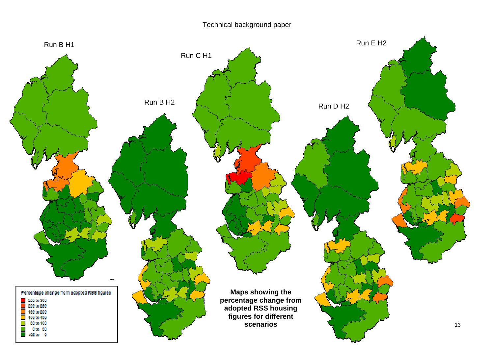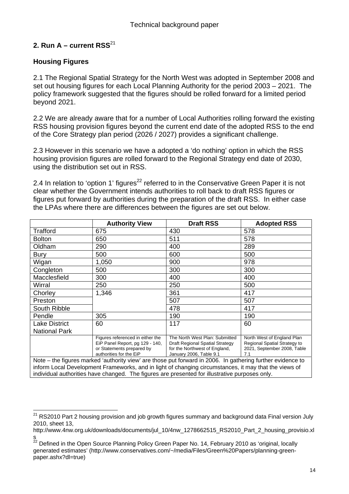## 2. Run  $A -$  current RSS<sup>21</sup>

## **Housing Figures**

2.1 The Regional Spatial Strategy for the North West was adopted in September 2008 and set out housing figures for each Local Planning Authority for the period 2003 – 2021. The policy framework suggested that the figures should be rolled forward for a limited period beyond 2021.

2.2 We are already aware that for a number of Local Authorities rolling forward the existing RSS housing provision figures beyond the current end date of the adopted RSS to the end of the Core Strategy plan period (2026 / 2027) provides a significant challenge.

2.3 However in this scenario we have a adopted a 'do nothing' option in which the RSS housing provision figures are rolled forward to the Regional Strategy end date of 2030, using the distribution set out in RSS.

2.4 In relation to 'option 1' figures<sup>22</sup> referred to in the Conservative Green Paper it is not clear whether the Government intends authorities to roll back to draft RSS figures or figures put forward by authorities during the preparation of the draft RSS. In either case the LPAs where there are differences between the figures are set out below.

|                                                                                                            | <b>Authority View</b>                                                                                                       | <b>Draft RSS</b>                                                                                                              | <b>Adopted RSS</b>                                                                               |  |  |  |
|------------------------------------------------------------------------------------------------------------|-----------------------------------------------------------------------------------------------------------------------------|-------------------------------------------------------------------------------------------------------------------------------|--------------------------------------------------------------------------------------------------|--|--|--|
| Trafford                                                                                                   | 675                                                                                                                         | 430                                                                                                                           | 578                                                                                              |  |  |  |
| <b>Bolton</b>                                                                                              | 650                                                                                                                         | 511                                                                                                                           | 578                                                                                              |  |  |  |
| Oldham                                                                                                     | 290                                                                                                                         | 400                                                                                                                           | 289                                                                                              |  |  |  |
| <b>Bury</b>                                                                                                | 500                                                                                                                         | 600                                                                                                                           | 500                                                                                              |  |  |  |
| Wigan                                                                                                      | 1,050                                                                                                                       | 900                                                                                                                           | 978                                                                                              |  |  |  |
| Congleton                                                                                                  | 500                                                                                                                         | 300                                                                                                                           | 300                                                                                              |  |  |  |
| Macclesfield                                                                                               | 300                                                                                                                         | 400                                                                                                                           | 400                                                                                              |  |  |  |
| Wirral                                                                                                     | 250                                                                                                                         | 250                                                                                                                           | 500                                                                                              |  |  |  |
| Chorley                                                                                                    | 1,346                                                                                                                       | 361                                                                                                                           | 417                                                                                              |  |  |  |
| Preston                                                                                                    |                                                                                                                             | 507                                                                                                                           | 507                                                                                              |  |  |  |
| South Ribble                                                                                               |                                                                                                                             | 478                                                                                                                           | 417                                                                                              |  |  |  |
| Pendle                                                                                                     | 305                                                                                                                         | 190                                                                                                                           | 190                                                                                              |  |  |  |
| <b>Lake District</b>                                                                                       | 60                                                                                                                          | 117                                                                                                                           | 60                                                                                               |  |  |  |
| <b>National Park</b>                                                                                       |                                                                                                                             |                                                                                                                               |                                                                                                  |  |  |  |
|                                                                                                            | Figures referenced in either the<br>EiP Panel Report, pg 129 - 140,<br>or Statements prepared by<br>authorities for the EiP | The North West Plan: Submitted<br>Draft Regional Spatial Strategy<br>for the Northwest of England,<br>January 2006, Table 9.1 | North West of England Plan<br>Regional Spatial Strategy to<br>2021, September 2008, Table<br>7.1 |  |  |  |
| Note – the figures marked 'authority view' are those put forward in 2006. In gathering further evidence to |                                                                                                                             |                                                                                                                               |                                                                                                  |  |  |  |
| inform Local Development Frameworks, and in light of changing circumstances, it may that the views of      |                                                                                                                             |                                                                                                                               |                                                                                                  |  |  |  |

individual authorities have changed. The figures are presented for illustrative purposes only.

 $\overline{a}$ <sup>21</sup> RS2010 Part 2 housing provision and job growth figures summary and background data Final version July 2010, sheet 13,

http://www.4nw.org.uk/downloads/documents/jul\_10/4nw\_1278662515\_RS2010\_Part\_2\_housing\_provisio.xl s

 $^{22}$  Defined in the Open Source Planning Policy Green Paper No. 14, February 2010 as 'original, locally generated estimates' (http://www.conservatives.com/~/media/Files/Green%20Papers/planning-greenpaper.ashx?dl=true)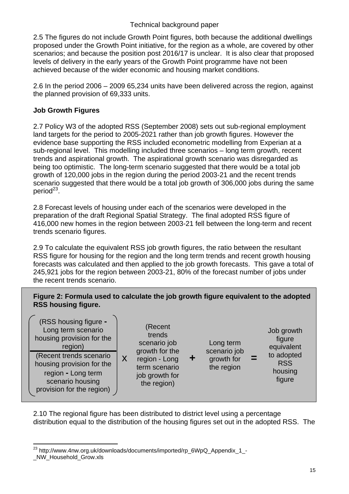2.5 The figures do not include Growth Point figures, both because the additional dwellings proposed under the Growth Point initiative, for the region as a whole, are covered by other scenarios; and because the position post 2016/17 is unclear. It is also clear that proposed levels of delivery in the early years of the Growth Point programme have not been achieved because of the wider economic and housing market conditions.

2.6 In the period 2006 – 2009 65,234 units have been delivered across the region, against the planned provision of 69,333 units.

## **Job Growth Figures**

2.7 Policy W3 of the adopted RSS (September 2008) sets out sub-regional employment land targets for the period to 2005-2021 rather than job growth figures. However the evidence base supporting the RSS included econometric modelling from Experian at a sub-regional level. This modelling included three scenarios – long term growth, recent trends and aspirational growth. The aspirational growth scenario was disregarded as being too optimistic. The long-term scenario suggested that there would be a total job growth of 120,000 jobs in the region during the period 2003-21 and the recent trends scenario suggested that there would be a total job growth of 306,000 jobs during the same  $period<sup>23</sup>$ .

2.8 Forecast levels of housing under each of the scenarios were developed in the preparation of the draft Regional Spatial Strategy. The final adopted RSS figure of 416,000 new homes in the region between 2003-21 fell between the long-term and recent trends scenario figures.

2.9 To calculate the equivalent RSS job growth figures, the ratio between the resultant RSS figure for housing for the region and the long term trends and recent growth housing forecasts was calculated and then applied to the job growth forecasts. This gave a total of 245,921 jobs for the region between 2003-21, 80% of the forecast number of jobs under the recent trends scenario.

## **Figure 2: Formula used to calculate the job growth figure equivalent to the adopted RSS housing figure.**

| (RSS housing figure -<br>Long term scenario<br>housing provision for the<br>region) |   | (Recent<br>trends<br>scenario job<br>growth for the |   | Long term<br>scenario job |      | Job growth<br>figure<br>equivalent |
|-------------------------------------------------------------------------------------|---|-----------------------------------------------------|---|---------------------------|------|------------------------------------|
| (Recent trends scenario<br>housing provision for the                                | X | region - Long<br>term scenario                      | ÷ | growth for<br>the region  | - 20 | to adopted<br><b>RSS</b>           |
| region - Long term<br>scenario housing<br>provision for the region)                 |   | job growth for<br>the region)                       |   |                           |      | housing<br>figure                  |

2.10 The regional figure has been distributed to district level using a percentage distribution equal to the distribution of the housing figures set out in the adopted RSS. The

 $\overline{a}$ <sup>23</sup> http://www.4nw.org.uk/downloads/documents/imported/rp\_6WpQ\_Appendix\_1\_-\_NW\_Household\_Grow.xls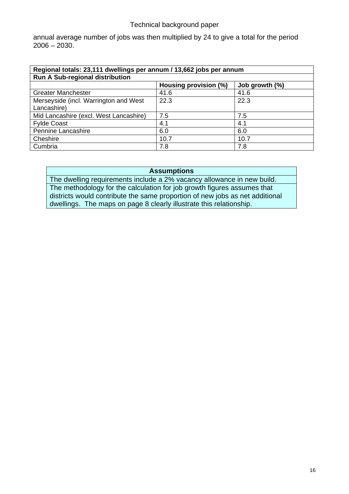annual average number of jobs was then multiplied by 24 to give a total for the period  $2006 - 2030.$ 

| Regional totals: 23,111 dwellings per annum / 13,662 jobs per annum |                       |                |  |  |  |  |
|---------------------------------------------------------------------|-----------------------|----------------|--|--|--|--|
| <b>Run A Sub-regional distribution</b>                              |                       |                |  |  |  |  |
|                                                                     | Housing provision (%) | Job growth (%) |  |  |  |  |
| <b>Greater Manchester</b>                                           | 41.6                  | 41.6           |  |  |  |  |
| Merseyside (incl. Warrington and West                               | 22.3                  | 22.3           |  |  |  |  |
| Lancashire)                                                         |                       |                |  |  |  |  |
| Mid Lancashire (excl. West Lancashire)                              | 7.5                   | 7.5            |  |  |  |  |
| <b>Fylde Coast</b>                                                  | 4.1                   | 4.1            |  |  |  |  |
| Pennine Lancashire                                                  | 6.0                   | 6.0            |  |  |  |  |
| Cheshire                                                            | 10.7                  | 10.7           |  |  |  |  |
| Cumbria                                                             | 7.8                   | 7.8            |  |  |  |  |

#### **Assumptions**

The dwelling requirements include a 2% vacancy allowance in new build. The methodology for the calculation for job growth figures assumes that districts would contribute the same proportion of new jobs as net additional dwellings. The maps on page 8 clearly illustrate this relationship.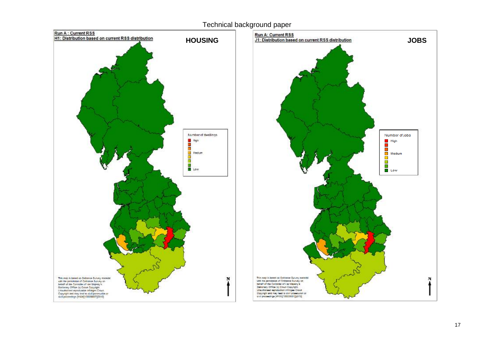



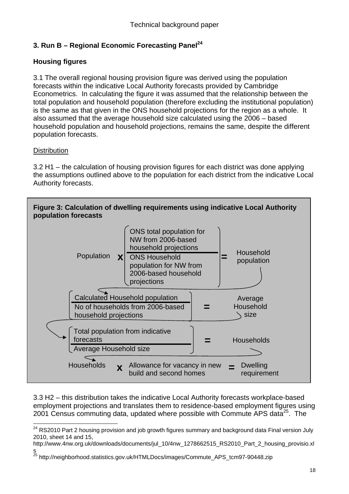## **3. Run B – Regional Economic Forecasting Panel**<sup>24</sup>

## **Housing figures**

3.1 The overall regional housing provision figure was derived using the population forecasts within the indicative Local Authority forecasts provided by Cambridge Econometrics. In calculating the figure it was assumed that the relationship between the total population and household population (therefore excluding the institutional population) is the same as that given in the ONS household projections for the region as a whole. It also assumed that the average household size calculated using the 2006 – based household population and household projections, remains the same, despite the different population forecasts.

## **Distribution**

 $\overline{a}$ 

3.2 H1 – the calculation of housing provision figures for each district was done applying the assumptions outlined above to the population for each district from the indicative Local Authority forecasts.



3.3 H2 – this distribution takes the indicative Local Authority forecasts workplace-based employment projections and translates them to residence-based employment figures using 2001 Census commuting data, updated where possible with Commute APS data<sup>25</sup>. The

http://www.4nw.org.uk/downloads/documents/jul\_10/4nw\_1278662515\_RS2010\_Part\_2\_housing\_provisio.xl s

 $^{24}$  RS2010 Part 2 housing provision and job growth figures summary and background data Final version July 2010, sheet 14 and 15,

<sup>&</sup>lt;sup>25</sup> http://neighborhood.statistics.gov.uk/HTMLDocs/images/Commute\_APS\_tcm97-90448.zip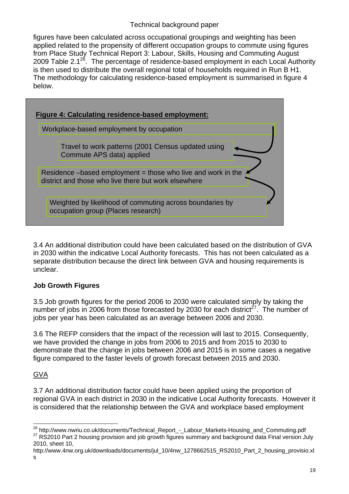figures have been calculated across occupational groupings and weighting has been applied related to the propensity of different occupation groups to commute using figures from Place Study Technical Report 3: Labour, Skills, Housing and Commuting August 2009 Table 2.1<sup>26</sup>. The percentage of residence-based employment in each Local Authority is then used to distribute the overall regional total of households required in Run B H1. The methodology for calculating residence-based employment is summarised in figure 4 below.



3.4 An additional distribution could have been calculated based on the distribution of GVA in 2030 within the indicative Local Authority forecasts. This has not been calculated as a separate distribution because the direct link between GVA and housing requirements is unclear.

## **Job Growth Figures**

3.5 Job growth figures for the period 2006 to 2030 were calculated simply by taking the number of jobs in 2006 from those forecasted by 2030 for each district<sup>27</sup>. The number of jobs per year has been calculated as an average between 2006 and 2030.

3.6 The REFP considers that the impact of the recession will last to 2015. Consequently, we have provided the change in jobs from 2006 to 2015 and from 2015 to 2030 to demonstrate that the change in jobs between 2006 and 2015 is in some cases a negative figure compared to the faster levels of growth forecast between 2015 and 2030.

## GVA

 $\overline{a}$ 

3.7 An additional distribution factor could have been applied using the proportion of regional GVA in each district in 2030 in the indicative Local Authority forecasts. However it is considered that the relationship between the GVA and workplace based employment

<sup>&</sup>lt;sup>26</sup> http://www.nwriu.co.uk/documents/Technical\_Report\_-\_Labour\_Markets-Housing\_and\_Commuting.pdf<br><sup>27</sup> RS2010 Part 2 housing provision and job growth figures summary and background data Final version July 2010, sheet 10,

http://www.4nw.org.uk/downloads/documents/jul\_10/4nw\_1278662515\_RS2010\_Part\_2\_housing\_provisio.xl s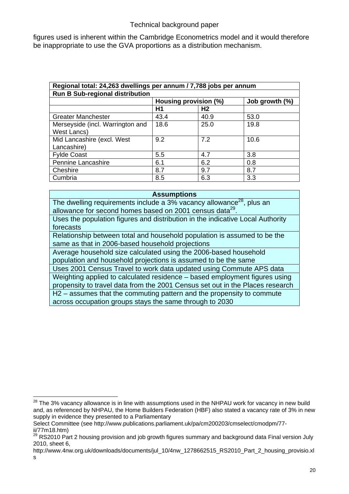figures used is inherent within the Cambridge Econometrics model and it would therefore be inappropriate to use the GVA proportions as a distribution mechanism.

| Regional total: 24,263 dwellings per annum / 7,788 jobs per annum |                       |                |                   |  |  |  |
|-------------------------------------------------------------------|-----------------------|----------------|-------------------|--|--|--|
| <b>Run B Sub-regional distribution</b>                            |                       |                |                   |  |  |  |
|                                                                   | Housing provision (%) |                | Job growth $(\%)$ |  |  |  |
|                                                                   | H1                    | H <sub>2</sub> |                   |  |  |  |
| <b>Greater Manchester</b>                                         | 43.4                  | 40.9           | 53.0              |  |  |  |
| Merseyside (incl. Warrington and                                  | 18.6                  | 25.0           | 19.8              |  |  |  |
| West Lancs)                                                       |                       |                |                   |  |  |  |
| Mid Lancashire (excl. West                                        | 9.2                   | 7.2            | 10.6              |  |  |  |
| Lancashire)                                                       |                       |                |                   |  |  |  |
| <b>Fylde Coast</b>                                                | 5.5                   | 4.7            | 3.8               |  |  |  |
| Pennine Lancashire                                                | 6.1                   | 6.2            | 0.8               |  |  |  |
| Cheshire                                                          | 8.7                   | 9.7            | 8.7               |  |  |  |
| Cumbria                                                           | 8.5                   | 6.3            | 3.3               |  |  |  |

#### **Assumptions**

The dwelling requirements include a 3% vacancy allowance<sup>28</sup>, plus an allowance for second homes based on 2001 census data<sup>29</sup>.

Uses the population figures and distribution in the indicative Local Authority forecasts

Relationship between total and household population is assumed to be the same as that in 2006-based household projections

Average household size calculated using the 2006-based household population and household projections is assumed to be the same

Uses 2001 Census Travel to work data updated using Commute APS data

Weighting applied to calculated residence – based employment figures using propensity to travel data from the 2001 Census set out in the Places research H2 – assumes that the commuting pattern and the propensity to commute across occupation groups stays the same through to 2030

 $\overline{a}$ 

 $^{28}$  The 3% vacancy allowance is in line with assumptions used in the NHPAU work for vacancy in new build and, as referenced by NHPAU, the Home Builders Federation (HBF) also stated a vacancy rate of 3% in new supply in evidence they presented to a Parliamentary

Select Committee (see http://www.publications.parliament.uk/pa/cm200203/cmselect/cmodpm/77 ii/77m18.htm)

 $^{29}$  RS2010 Part 2 housing provision and job growth figures summary and background data Final version July 2010, sheet 6,

http://www.4nw.org.uk/downloads/documents/jul\_10/4nw\_1278662515\_RS2010\_Part\_2\_housing\_provisio.xl s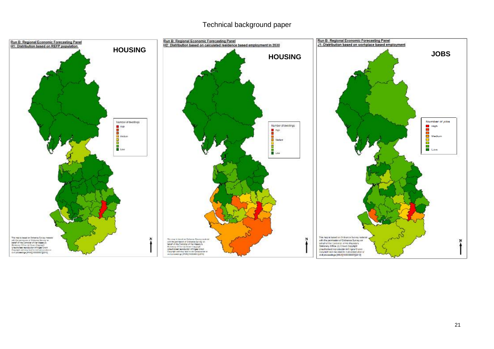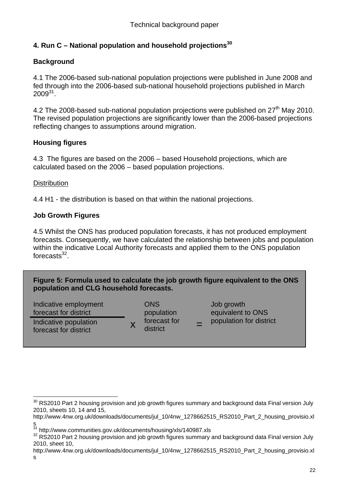## **4. Run C – National population and household projections30**

## **Background**

4.1 The 2006-based sub-national population projections were published in June 2008 and fed through into the 2006-based sub-national household projections published in March  $2009^{31}$ .

4.2 The 2008-based sub-national population projections were published on  $27<sup>th</sup>$  Mav 2010. The revised population projections are significantly lower than the 2006-based projections reflecting changes to assumptions around migration.

## **Housing figures**

4.3 The figures are based on the 2006 – based Household projections, which are calculated based on the 2006 – based population projections.

## **Distribution**

4.4 H1 - the distribution is based on that within the national projections.

## **Job Growth Figures**

4.5 Whilst the ONS has produced population forecasts, it has not produced employment forecasts. Consequently, we have calculated the relationship between jobs and population within the indicative Local Authority forecasts and applied them to the ONS population forecasts $32$ 

**Figure 5: Formula used to calculate the job growth figure equivalent to the ONS population and CLG household forecasts.** 

Indicative employment forecast for district Indicative population  $X$  forecast for  $Y =$  population for district  $Y =$ 

 $\overline{a}$ 

**ONS** population forecast for district

 Job growth equivalent to ONS

 $^{30}$  RS2010 Part 2 housing provision and job growth figures summary and background data Final version July 2010, sheets 10, 14 and 15,

http://www.4nw.org.uk/downloads/documents/jul\_10/4nw\_1278662515\_RS2010\_Part\_2\_housing\_provisio.xl

s<br><sup>31</sup> http://www.communities.gov.uk/documents/housing/xls/140987.xls

 $32$  RS2010 Part 2 housing provision and job growth figures summary and background data Final version July 2010, sheet 10,

http://www.4nw.org.uk/downloads/documents/jul\_10/4nw\_1278662515\_RS2010\_Part\_2\_housing\_provisio.xl s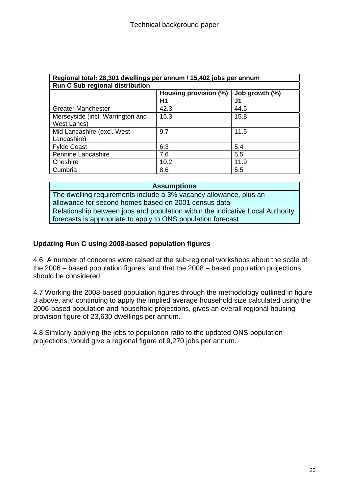| Regional total: 28,301 dwellings per annum / 15,402 jobs per annum |                       |                |  |  |  |  |
|--------------------------------------------------------------------|-----------------------|----------------|--|--|--|--|
| <b>Run C Sub-regional distribution</b>                             |                       |                |  |  |  |  |
|                                                                    | Housing provision (%) | Job growth (%) |  |  |  |  |
|                                                                    | Η1                    | J1             |  |  |  |  |
| <b>Greater Manchester</b>                                          | 42.3                  | 44.5           |  |  |  |  |
| Merseyside (incl. Warrington and                                   | 15.3                  | 15.8           |  |  |  |  |
| West Lancs)                                                        |                       |                |  |  |  |  |
| Mid Lancashire (excl. West                                         | 9.7                   | 11.5           |  |  |  |  |
| Lancashire)                                                        |                       |                |  |  |  |  |
| <b>Fylde Coast</b>                                                 | 6.3                   | 5.4            |  |  |  |  |
| Pennine Lancashire                                                 | 7.6                   | 5.5            |  |  |  |  |
| Cheshire                                                           | 10.2                  | 11.9           |  |  |  |  |
| Cumbria                                                            | 8.6                   | 5.5            |  |  |  |  |

**Assumptions**  The dwelling requirements include a 3% vacancy allowance, plus an allowance for second homes based on 2001 census data Relationship between jobs and population within the indicative Local Authority forecasts is appropriate to apply to ONS population forecast

## **Updating Run C using 2008-based population figures**

4.6 A number of concerns were raised at the sub-regional workshops about the scale of the 2006 – based population figures, and that the 2008 – based population projections should be considered.

4.7 Working the 2008-based population figures through the methodology outlined in figure 3 above, and continuing to apply the implied average household size calculated using the 2006-based population and household projections, gives an overall regional housing provision figure of 23,630 dwellings per annum.

4.8 Similarly applying the jobs to population ratio to the updated ONS population projections, would give a regional figure of 9,270 jobs per annum.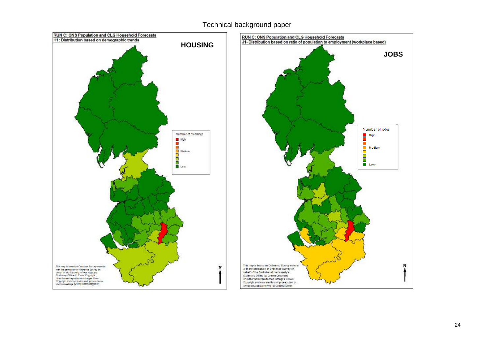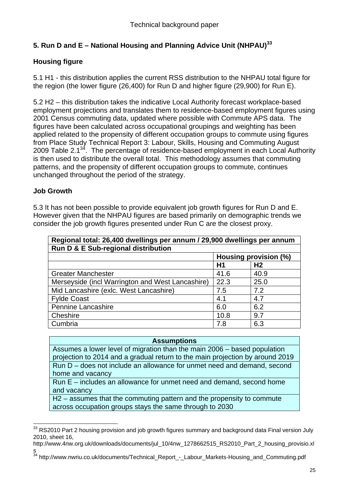## **5. Run D and E – National Housing and Planning Advice Unit (NHPAU)<sup>33</sup>**

## **Housing figure**

5.1 H1 - this distribution applies the current RSS distribution to the NHPAU total figure for the region (the lower figure (26,400) for Run D and higher figure (29,900) for Run E).

5.2 H2 – this distribution takes the indicative Local Authority forecast workplace-based employment projections and translates them to residence-based employment figures using 2001 Census commuting data, updated where possible with Commute APS data. The figures have been calculated across occupational groupings and weighting has been applied related to the propensity of different occupation groups to commute using figures from Place Study Technical Report 3: Labour, Skills, Housing and Commuting August 2009 Table 2.1 $34$ . The percentage of residence-based employment in each Local Authority is then used to distribute the overall total. This methodology assumes that commuting patterns, and the propensity of different occupation groups to commute, continues unchanged throughout the period of the strategy.

## **Job Growth**

 $\overline{a}$ 

5.3 It has not been possible to provide equivalent job growth figures for Run D and E. However given that the NHPAU figures are based primarily on demographic trends we consider the job growth figures presented under Run C are the closest proxy.

| Regional total: 26,400 dwellings per annum / 29,900 dwellings per annum |                       |                |  |  |  |  |
|-------------------------------------------------------------------------|-----------------------|----------------|--|--|--|--|
| Run D & E Sub-regional distribution                                     |                       |                |  |  |  |  |
|                                                                         | Housing provision (%) |                |  |  |  |  |
|                                                                         | H1                    | H <sub>2</sub> |  |  |  |  |
| <b>Greater Manchester</b>                                               | 41.6                  | 40.9           |  |  |  |  |
| Merseyside (incl Warrington and West Lancashire)                        | 22.3                  | 25.0           |  |  |  |  |
| Mid Lancashire (exlc. West Lancashire)                                  | 7.5                   | 7.2            |  |  |  |  |
| <b>Fylde Coast</b>                                                      | 4.1                   | 4.7            |  |  |  |  |
| <b>Pennine Lancashire</b>                                               | 6.0                   | 6.2            |  |  |  |  |
| Cheshire                                                                | 10.8                  | 9.7            |  |  |  |  |
| Cumbria                                                                 | 7.8                   | 6.3            |  |  |  |  |

| <b>Assumptions</b> |  |
|--------------------|--|
|--------------------|--|

Assumes a lower level of migration than the main 2006 – based population projection to 2014 and a gradual return to the main projection by around 2019 Run D – does not include an allowance for unmet need and demand, second home and vacancy

Run E – includes an allowance for unmet need and demand, second home and vacancy

H2 – assumes that the commuting pattern and the propensity to commute across occupation groups stays the same through to 2030

- http://www.4nw.org.uk/downloads/documents/jul\_10/4nw\_1278662515\_RS2010\_Part\_2\_housing\_provisio.xl s
- <sup>34</sup> http://www.nwriu.co.uk/documents/Technical\_Report\_-\_Labour\_Markets-Housing\_and\_Commuting.pdf

 $^{33}$  RS2010 Part 2 housing provision and job growth figures summary and background data Final version July 2010, sheet 16,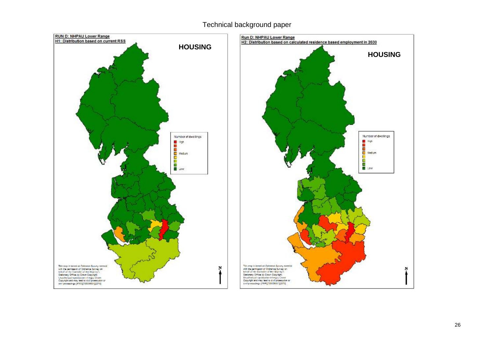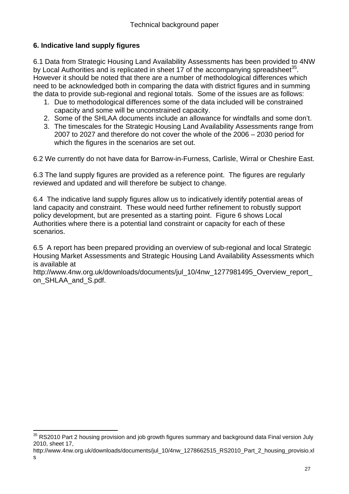## **6. Indicative land supply figures**

 $\overline{a}$ 

6.1 Data from Strategic Housing Land Availability Assessments has been provided to 4NW by Local Authorities and is replicated in sheet 17 of the accompanying spreadsheet<sup>35</sup>. However it should be noted that there are a number of methodological differences which need to be acknowledged both in comparing the data with district figures and in summing the data to provide sub-regional and regional totals. Some of the issues are as follows:

- 1. Due to methodological differences some of the data included will be constrained capacity and some will be unconstrained capacity.
- 2. Some of the SHLAA documents include an allowance for windfalls and some don't.
- 3. The timescales for the Strategic Housing Land Availability Assessments range from 2007 to 2027 and therefore do not cover the whole of the 2006 – 2030 period for which the figures in the scenarios are set out.

6.2 We currently do not have data for Barrow-in-Furness, Carlisle, Wirral or Cheshire East.

6.3 The land supply figures are provided as a reference point. The figures are regularly reviewed and updated and will therefore be subject to change.

6.4 The indicative land supply figures allow us to indicatively identify potential areas of land capacity and constraint. These would need further refinement to robustly support policy development, but are presented as a starting point. Figure 6 shows Local Authorities where there is a potential land constraint or capacity for each of these scenarios.

6.5 A report has been prepared providing an overview of sub-regional and local Strategic Housing Market Assessments and Strategic Housing Land Availability Assessments which is available at

http://www.4nw.org.uk/downloads/documents/jul\_10/4nw\_1277981495\_Overview\_report\_ on SHLAA and S.pdf.

 $35$  RS2010 Part 2 housing provision and job growth figures summary and background data Final version July 2010, sheet 17,

http://www.4nw.org.uk/downloads/documents/jul\_10/4nw\_1278662515\_RS2010\_Part\_2\_housing\_provisio.xl s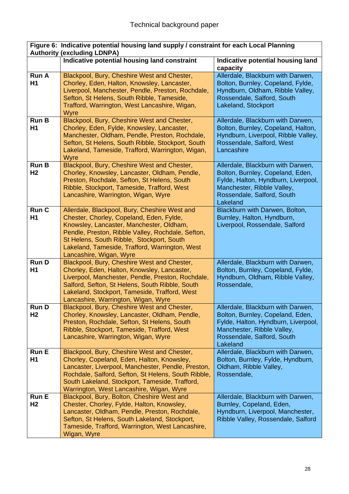|                                | Figure 6: Indicative potential housing land supply / constraint for each Local Planning<br><b>Authority (excluding LDNPA)</b>                                                                                                                                                                                        |                                                                                                                                                                                      |
|--------------------------------|----------------------------------------------------------------------------------------------------------------------------------------------------------------------------------------------------------------------------------------------------------------------------------------------------------------------|--------------------------------------------------------------------------------------------------------------------------------------------------------------------------------------|
|                                | Indicative potential housing land constraint                                                                                                                                                                                                                                                                         | Indicative potential housing land<br>capacity                                                                                                                                        |
| <b>Run A</b><br>H1             | Blackpool, Bury, Cheshire West and Chester,<br>Chorley, Eden, Halton, Knowsley, Lancaster,<br>Liverpool, Manchester, Pendle, Preston, Rochdale,<br>Sefton, St Helens, South Ribble, Tameside,<br>Trafford, Warrington, West Lancashire, Wigan,<br>Wyre                                                               | Allerdale, Blackburn with Darwen,<br>Bolton, Burnley, Copeland, Fylde,<br>Hyndburn, Oldham, Ribble Valley,<br>Rossendale, Salford, South<br>Lakeland, Stockport                      |
| <b>Run B</b><br>H <sub>1</sub> | Blackpool, Bury, Cheshire West and Chester,<br>Chorley, Eden, Fylde, Knowsley, Lancaster,<br>Manchester, Oldham, Pendle, Preston, Rochdale,<br>Sefton, St Helens, South Ribble, Stockport, South<br>Lakeland, Tameside, Trafford, Warrington, Wigan,<br>Wyre                                                         | Allerdale, Blackburn with Darwen,<br>Bolton, Burnley, Copeland, Halton,<br>Hyndburn, Liverpool, Ribble Valley,<br>Rossendale, Salford, West<br>Lancashire                            |
| <b>Run B</b><br>H <sub>2</sub> | Blackpool, Bury, Cheshire West and Chester,<br>Chorley, Knowsley, Lancaster, Oldham, Pendle,<br>Preston, Rochdale, Sefton, St Helens, South<br>Ribble, Stockport, Tameside, Trafford, West<br>Lancashire, Warrington, Wigan, Wyre                                                                                    | Allerdale, Blackburn with Darwen,<br>Bolton, Burnley, Copeland, Eden,<br>Fylde, Halton, Hyndburn, Liverpool,<br>Manchester, Ribble Valley,<br>Rossendale, Salford, South<br>Lakeland |
| Run C<br>H1                    | Allerdale, Blackpool, Bury, Cheshire West and<br>Chester, Chorley, Copeland, Eden, Fylde,<br>Knowsley, Lancaster, Manchester, Oldham,<br>Pendle, Preston, Ribble Valley, Rochdale, Sefton,<br>St Helens, South Ribble, Stockport, South<br>Lakeland, Tameside, Trafford, Warrington, West<br>Lancashire, Wigan, Wyre | Blackburn with Darwen, Bolton,<br>Burnley, Halton, Hyndburn,<br>Liverpool, Rossendale, Salford                                                                                       |
| <b>RunD</b><br>H1              | Blackpool, Bury, Cheshire West and Chester,<br>Chorley, Eden, Halton, Knowsley, Lancaster,<br>Liverpool, Manchester, Pendle, Preston, Rochdale,<br>Salford, Sefton, St Helens, South Ribble, South<br>Lakeland, Stockport, Tameside, Trafford, West<br>Lancashire, Warrington, Wigan, Wyre                           | Allerdale, Blackburn with Darwen,<br>Bolton, Burnley, Copeland, Fylde,<br>Hyndburn, Oldham, Ribble Valley,<br>Rossendale,                                                            |
| <b>RunD</b><br>H <sub>2</sub>  | Blackpool, Bury, Cheshire West and Chester,<br>Chorley, Knowsley, Lancaster, Oldham, Pendle,<br>Preston, Rochdale, Sefton, St Helens, South<br>Ribble, Stockport, Tameside, Trafford, West<br>Lancashire, Warrington, Wigan, Wyre                                                                                    | Allerdale, Blackburn with Darwen,<br>Bolton, Burnley, Copeland, Eden,<br>Fylde, Halton, Hyndburn, Liverpool,<br>Manchester, Ribble Valley,<br>Rossendale, Salford, South<br>Lakeland |
| <b>Run E</b><br>H1             | Blackpool, Bury, Cheshire West and Chester,<br>Chorley, Copeland, Eden, Halton, Knowsley,<br>Lancaster, Liverpool, Manchester, Pendle, Preston,<br>Rochdale, Salford, Sefton, St Helens, South Ribble,<br>South Lakeland, Stockport, Tameside, Trafford,<br>Warrington, West Lancashire, Wigan, Wyre                 | Allerdale, Blackburn with Darwen,<br>Bolton, Burnley, Fylde, Hyndburn,<br>Oldham, Ribble Valley,<br>Rossendale,                                                                      |
| <b>Run E</b><br>H <sub>2</sub> | Blackpool, Bury, Bolton, Cheshire West and<br>Chester, Chorley, Fylde, Halton, Knowsley,<br>Lancaster, Oldham, Pendle, Preston, Rochdale,<br>Sefton, St Helens, South Lakeland, Stockport,<br>Tameside, Trafford, Warrington, West Lancashire,<br>Wigan, Wyre                                                        | Allerdale, Blackburn with Darwen,<br>Burnley, Copeland, Eden,<br>Hyndburn, Liverpool, Manchester,<br>Ribble Valley, Rossendale, Salford                                              |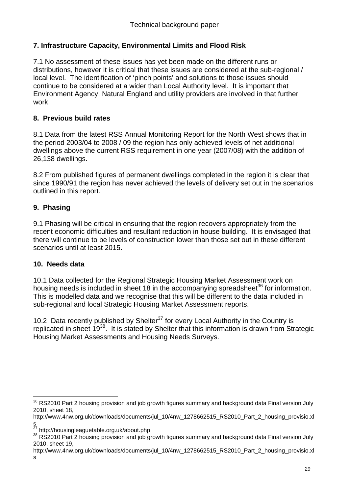## **7. Infrastructure Capacity, Environmental Limits and Flood Risk**

7.1 No assessment of these issues has yet been made on the different runs or distributions, however it is critical that these issues are considered at the sub-regional / local level. The identification of 'pinch points' and solutions to those issues should continue to be considered at a wider than Local Authority level. It is important that Environment Agency, Natural England and utility providers are involved in that further work.

## **8. Previous build rates**

8.1 Data from the latest RSS Annual Monitoring Report for the North West shows that in the period 2003/04 to 2008 / 09 the region has only achieved levels of net additional dwellings above the current RSS requirement in one year (2007/08) with the addition of 26,138 dwellings.

8.2 From published figures of permanent dwellings completed in the region it is clear that since 1990/91 the region has never achieved the levels of delivery set out in the scenarios outlined in this report.

## **9. Phasing**

9.1 Phasing will be critical in ensuring that the region recovers appropriately from the recent economic difficulties and resultant reduction in house building. It is envisaged that there will continue to be levels of construction lower than those set out in these different scenarios until at least 2015.

## **10. Needs data**

10.1 Data collected for the Regional Strategic Housing Market Assessment work on housing needs is included in sheet 18 in the accompanying spreadsheet<sup>36</sup> for information. This is modelled data and we recognise that this will be different to the data included in sub-regional and local Strategic Housing Market Assessment reports.

10.2 Data recently published by Shelter<sup>37</sup> for every Local Authority in the Country is replicated in sheet  $19^{38}$ . It is stated by Shelter that this information is drawn from Strategic Housing Market Assessments and Housing Needs Surveys.

 $\overline{a}$  $^{36}$  RS2010 Part 2 housing provision and job growth figures summary and background data Final version July 2010, sheet 18,

http://www.4nw.org.uk/downloads/documents/jul\_10/4nw\_1278662515\_RS2010\_Part\_2\_housing\_provisio.xl

s<br><sup>37</sup> http://housingleaguetable.org.uk/about.php

<sup>38</sup> RS2010 Part 2 housing provision and job growth figures summary and background data Final version July 2010, sheet 19,

http://www.4nw.org.uk/downloads/documents/jul\_10/4nw\_1278662515\_RS2010\_Part\_2\_housing\_provisio.xl s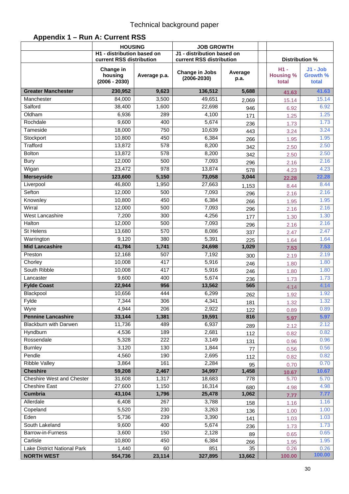|                                  | <b>HOUSING</b><br>H1 - distribution based on<br>current RSS distribution |              | <b>JOB GROWTH</b><br>J1 - distribution based on<br>current RSS distribution |                 | Distribution %                      |                                        |
|----------------------------------|--------------------------------------------------------------------------|--------------|-----------------------------------------------------------------------------|-----------------|-------------------------------------|----------------------------------------|
|                                  | Change in<br>housing<br>$(2006 - 2030)$                                  | Average p.a. | Change in Jobs<br>$(2006 - 2030)$                                           | Average<br>p.a. | $H1 -$<br><b>Housing %</b><br>total | $J1 - Job$<br><b>Growth %</b><br>total |
| <b>Greater Manchester</b>        | 230,952                                                                  | 9,623        | 136,512                                                                     | 5,688           | 41.63                               | 41.63                                  |
| Manchester                       | 84,000                                                                   | 3,500        | 49,651                                                                      | 2,069           | 15.14                               | 15.14                                  |
| Salford                          | 38,400                                                                   | 1,600        | 22,698                                                                      | 946             | 6.92                                | 6.92                                   |
| Oldham                           | 6,936                                                                    | 289          | 4,100                                                                       | 171             | 1.25                                | 1.25                                   |
| Rochdale                         | 9,600                                                                    | 400          | 5,674                                                                       | 236             | 1.73                                | 1.73                                   |
| Tameside                         | 18,000                                                                   | 750          | 10,639                                                                      | 443             | 3.24                                | 3.24                                   |
| Stockport                        | 10,800                                                                   | 450          | 6,384                                                                       | 266             | 1.95                                | 1.95                                   |
| Trafford                         | 13,872                                                                   | 578          | 8,200                                                                       | 342             | 2.50                                | 2.50                                   |
| <b>Bolton</b>                    | 13,872                                                                   | 578          | 8,200                                                                       | 342             | 2.50                                | 2.50                                   |
| <b>Bury</b>                      | 12,000                                                                   | 500          | 7,093                                                                       | 296             | 2.16                                | 2.16                                   |
| Wigan                            | 23,472                                                                   | 978          | 13,874                                                                      | 578             | 4.23                                | 4.23                                   |
| <b>Merseyside</b>                | 123,600                                                                  | 5,150        | 73,058                                                                      | 3,044           | 22.28                               | 22.28                                  |
| Liverpool                        | 46,800                                                                   | 1,950        | 27,663                                                                      | 1,153           | 8.44                                | 8.44                                   |
| Sefton                           | 12,000                                                                   | 500          | 7,093                                                                       | 296             | 2.16                                | 2.16                                   |
| Knowsley                         | 10,800                                                                   | 450          | 6,384                                                                       | 266             | 1.95                                | 1.95                                   |
| Wirral                           | 12,000                                                                   | 500          | 7,093                                                                       | 296             | 2.16                                | 2.16                                   |
| <b>West Lancashire</b>           | 7,200                                                                    | 300          | 4,256                                                                       | 177             | 1.30                                | 1.30                                   |
| Halton                           | 12,000                                                                   | 500          | 7,093                                                                       | 296             | 2.16                                | 2.16                                   |
| <b>St Helens</b>                 | 13,680                                                                   | 570          | 8,086                                                                       | 337             | 2.47                                | 2.47                                   |
| Warrington                       | 9,120                                                                    | 380          | 5,391                                                                       | 225             | 1.64                                | 1.64                                   |
| <b>Mid Lancashire</b>            | 41,784                                                                   | 1,741        | 24,698                                                                      | 1,029           | 7.53                                | 7.53                                   |
| Preston                          | 12,168                                                                   | 507          | 7,192                                                                       | 300             | 2.19                                | 2.19                                   |
| Chorley                          | 10,008                                                                   | 417          | 5,916                                                                       | 246             | 1.80                                | 1.80                                   |
| South Ribble                     | 10,008                                                                   | 417          | 5,916                                                                       | 246             | 1.80                                | 1.80                                   |
| Lancaster                        | 9,600                                                                    | 400          | 5,674                                                                       | 236             | 1.73                                | 1.73                                   |
| <b>Fylde Coast</b>               | 22,944                                                                   | 956          | 13,562                                                                      | 565             | 4.14                                | 4.14                                   |
| Blackpool                        | 10,656                                                                   | 444          | 6,299                                                                       | 262             | 1.92                                | 1.92                                   |
| Fylde                            | 7,344                                                                    | 306          | 4,341                                                                       | 181             | 1.32                                | 1.32                                   |
| Wyre                             | 4,944                                                                    | 206          | 2,922                                                                       | 122             | 0.89                                | 0.89                                   |
| <b>Pennine Lancashire</b>        | 33,144                                                                   | 1,381        | 19,591                                                                      | 816             | 5.97                                | 5.97                                   |
| <b>Blackburn with Darwen</b>     | 11,736                                                                   | 489          | 6,937                                                                       | 289             | 2.12                                | 2.12                                   |
| Hyndburn                         | 4,536                                                                    | 189          | 2,681                                                                       | 112             | 0.82                                | 0.82                                   |
| Rossendale                       | 5,328                                                                    | 222          | 3,149                                                                       | 131             | 0.96                                | 0.96                                   |
| <b>Burnley</b><br>Pendle         | 3,120                                                                    | 130          | 1,844                                                                       | 77              | 0.56                                | 0.56                                   |
| <b>Ribble Valley</b>             | 4,560<br>3,864                                                           | 190<br>161   | 2,695<br>2,284                                                              | 112             | 0.82                                | 0.82<br>0.70                           |
| <b>Cheshire</b>                  | 59,208                                                                   | 2,467        | 34,997                                                                      | 95<br>1,458     | 0.70                                | 10.67                                  |
| <b>Cheshire West and Chester</b> | 31,608                                                                   | 1,317        | 18,683                                                                      | 778             | 10.67<br>5.70                       | 5.70                                   |
| <b>Cheshire East</b>             | 27,600                                                                   | 1,150        | 16,314                                                                      |                 |                                     | 4.98                                   |
| <b>Cumbria</b>                   | 43,104                                                                   | 1,796        | 25,478                                                                      | 680<br>1,062    | 4.98                                | 7.77                                   |
| Allerdale                        | 6,408                                                                    | 267          | 3,788                                                                       |                 | 7.77                                | 1.16                                   |
| Copeland                         | 5,520                                                                    | 230          | 3,263                                                                       | 158             | 1.16                                | 1.00                                   |
| Eden                             | 5,736                                                                    | 239          | 3,390                                                                       | 136<br>141      | 1.00<br>1.03                        | 1.03                                   |
| South Lakeland                   | 9,600                                                                    | 400          | 5,674                                                                       | 236             | 1.73                                | 1.73                                   |
| Barrow-in-Furness                | 3,600                                                                    | 150          | 2,128                                                                       | 89              | 0.65                                | 0.65                                   |
| Carlisle                         | 10,800                                                                   | 450          | 6,384                                                                       | 266             | 1.95                                | 1.95                                   |
| Lake District National Park      | 1,440                                                                    | 60           | 851                                                                         | 35              | 0.26                                | 0.26                                   |
| <b>NORTH WEST</b>                | 554,736                                                                  | 23,114       | 327,895                                                                     | 13,662          | 100.00                              | 100.00                                 |

## **Appendix 1 – Run A: Current RSS**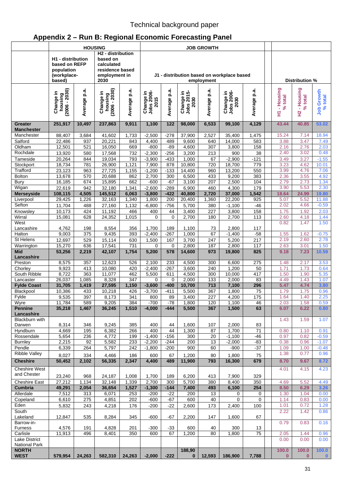# **Appendix 2 – Run B: Regional Economic Forecasting Panel**

|                                      | <b>HOUSING</b>                                                              |                  |                                                                                             | <b>JOB GROWTH</b> |                                        |                                            |                                 |                  |                                 |                 |                |              |                             |                       |
|--------------------------------------|-----------------------------------------------------------------------------|------------------|---------------------------------------------------------------------------------------------|-------------------|----------------------------------------|--------------------------------------------|---------------------------------|------------------|---------------------------------|-----------------|----------------|--------------|-----------------------------|-----------------------|
|                                      | H <sub>1</sub> - distribution<br>based on REFP<br>population<br>(workplace- |                  | H <sub>2</sub> - distribution<br>based on<br>calculated<br>residence based<br>employment in |                   |                                        | J1 - distribution based on workplace based |                                 |                  |                                 |                 |                |              |                             |                       |
|                                      | based)                                                                      |                  | 2030                                                                                        |                   |                                        |                                            |                                 | employment       |                                 |                 |                |              | Distribution %              |                       |
|                                      | housing<br>2006 - 2030)<br>Change in<br>(2006                               | Average p.a.     | housing<br>2006 - 2030)<br>Change in<br>(2006.                                              | Average p.a.      | <b>Jobs 2006-</b><br>2015<br>Change in | a.<br>Q<br>Average                         | Change in<br>Jobs 2015-<br>2030 | Average p.a.     | Change in<br>Jobs 2006-<br>2030 | p.a.<br>Average | - Housing<br>Ξ | $%$ total    | - Housing<br>$%$ total<br>엎 | Job Growth<br>% total |
| Greater<br><b>Manchester</b>         | 251,917                                                                     | 10,497           | 237,863                                                                                     | 9,911             | 1,100                                  | 122                                        | 98,000                          | 6,533            | 99,100                          | 4,129           |                | 43.44        | 40.85                       | 53.02                 |
| Manchester                           | 88,407                                                                      | 3,684            | 41,602                                                                                      | 1,733             | $-2,500$                               | $-278$                                     | 37,900                          | 2,527            | 35,400                          | 1,475           |                | 15.24        | 7.14                        | 18.94                 |
| Salford                              | 22,486                                                                      | 937              | 20,221                                                                                      | 843               | 4,400                                  | 489                                        | 9,600                           | 640              | 14,000                          | 583             |                | 3.88         | 3.47                        | 7.49                  |
| Oldham                               | 12,501                                                                      | 521              | 16,050                                                                                      | 669               | $-800$                                 | $-89$                                      | 4,600                           | $\overline{307}$ | 3,800                           | 158             |                | 2.16         | 2.76                        | 2.03                  |
| Rochdale                             | 13,920                                                                      | 580              | 17,568                                                                                      | 732               | $-2,300$                               | $-256$                                     | 3,200                           | 213              | 900                             | 38              |                | 2.40         | 3.02                        | 0.48                  |
| Tameside<br>Stockport                | 20,264<br>18,734                                                            | 844<br>781       | 19,034<br>26,900                                                                            | 793<br>1,121      | $-3,900$<br>7,900                      | $-433$<br>878                              | 1,000<br>10,800                 | 67<br>720        | $-2,900$<br>18,700              | $-121$<br>779   |                | 3.49<br>3.23 | 3.27<br>4.62                | $-1.55$<br>10.01      |
| Trafford                             | 23,123                                                                      | 963              | 27,725                                                                                      | 1,155             | $-1,200$                               | $-133$                                     | 14,400                          | 960              | 13,200                          | 550             |                | 3.99         | 4.76                        | 7.06                  |
| <b>Bolton</b>                        | 13,678                                                                      | 570              | 20,688                                                                                      | 862               | 2,700                                  | 300                                        | 6,500                           | 433              | 9,200                           | 383             |                | 2.36         | 3.55                        | 4.92                  |
| Bury                                 | 16,185                                                                      | 674              | 15,895                                                                                      | 662               | $-600$                                 | $-67$                                      | 3,100                           | 207              | 2,500                           | 104             |                | 2.79         | 2.73                        | 1.34                  |
| Wigan                                | 22,619                                                                      | 942              | 32,180                                                                                      | 1,341             | $-2,600$                               | $-289$                                     | 6,900                           | 460              | 4,300                           | 179             |                | 3.90         | 5.53                        | 2.30                  |
| <b>Merseyside</b>                    | 108,115                                                                     | 4,505            | 145,512                                                                                     | 6,063             | $-3,800$                               | $-422$                                     | 40,800                          | 2,720            | 37,000                          | 1,542           |                | 18.64        | 24.99                       | 19.80                 |
| Liverpool<br>Sefton                  | 29,425                                                                      | 1,226            | 32,163                                                                                      | 1,340             | 1,800                                  | 200                                        | 20,400                          | 1,360            | 22,200                          | 925             |                | 5.07         | 5.52                        | 11.88                 |
|                                      | 11,704                                                                      | 488<br>424       | 27,160                                                                                      | 1,132             | $-6,800$                               | $-756$                                     | 5,700                           | 380              | $-1,100$                        | $-46$           |                | 2.02         | 4.66                        | $-0.59$               |
| Knowsley<br>Wirral                   | 10,173<br>15,081                                                            | 628              | 11,192<br>24,352                                                                            | 466<br>1,015      | 400<br>$\mathbf 0$                     | 44<br>0                                    | 3,400<br>2,700                  | 227<br>180       | 3,800<br>2,700                  | 158<br>113      |                | 1.75<br>2.60 | 1.92<br>4.18                | 2.03<br>1.44          |
| West                                 |                                                                             |                  |                                                                                             |                   |                                        |                                            |                                 |                  |                                 |                 |                | 0.82         | 1.47                        | 1.50                  |
| Lancashire                           | 4,762                                                                       | 198              | 8,554                                                                                       | 356               | 1,700                                  | 189                                        | 1,100                           | 73               | 2,800                           | 117             |                |              |                             |                       |
| Halton                               | 9,003                                                                       | $\overline{375}$ | 9,435                                                                                       | 393               | $-2,400$                               | $-267$                                     | 1,000                           | 67               | $-1,400$                        | $-58$           |                | 1.55         | 1.62                        | $-0.75$               |
| St Helens                            | 12,697                                                                      | 529              | 15,114                                                                                      | 630               | 1,500                                  | 167                                        | 3,700                           | 247              | 5,200                           | 217             |                | 2.19         | 2.60                        | 2.78                  |
| Warrington<br><b>Mid</b>             | 15,270<br>53,256                                                            | 636<br>2,219     | 17,541<br>42,107                                                                            | 731<br>1,754      | 0<br>5,200                             | 0<br>578                                   | 2,800<br>14,600                 | 187<br>973       | 2,800<br>19,800                 | 117<br>825      |                | 2.63<br>9.18 | 3.01<br>7.23                | 1.50<br>10.59         |
| Lancashire<br>Preston                | 8,575                                                                       | 357              | 12,623                                                                                      | 526               | 2,100                                  | 233                                        | 4,500                           | 300              | 6,600                           | 275             |                | 1.48         | 2.17                        | 3.53                  |
| Chorley                              | 9,923                                                                       | 413              | 10,080                                                                                      | 420               | $-2,400$                               | $-267$                                     | 3,600                           | 240              | 1,200                           | 50              |                | 1.71         | 1.73                        | 0.64                  |
| South Ribble                         | 8,722                                                                       | 363              | 11,077                                                                                      | 462               | 5,500                                  | 611                                        | 4,500                           | 300              | 10.000                          | 417             |                | 1.50         | 1.90                        | 5.35                  |
| Lancaster                            | 26,037                                                                      | 1,085            | 8,328                                                                                       | 347               | $\mathbf 0$                            | 0                                          | 2,000                           | 133              | 2,000                           | 83              |                | 4.49         | 1.43                        | 1.07                  |
| <b>Fylde Coast</b>                   | 31,705                                                                      | 1,419            | 27,595                                                                                      | 1,150             | $-3,600$                               | $-400$                                     | 10,700                          | 713              | 7,100                           | 296             |                | 5.47         | 4.74                        | 3.80                  |
| Blackpool                            | 10,386                                                                      | 433              | 10,218                                                                                      | 426               | $-3,700$                               | $-411$                                     | 5,500                           | 367              | 1,800                           | 75              |                | 1.79         | 1.75                        | 0.96                  |
| Fylde                                | 9,535                                                                       | 397              | 8,173                                                                                       | 341<br>384        | 800<br>$-700$                          | 89<br>$-78$                                | 3,400                           | 227              | 4,200                           | 175             |                | 1.64<br>2.03 | 1.40<br>1.58                | 2.25<br>0.59          |
| Wyre<br><b>Pennine</b>               | 11,784<br>35,218                                                            | 589<br>1,467     | 9,205<br>36,245                                                                             | 1,510             | $-4,000$                               | $-444$                                     | 1,800<br>5,500                  | 120<br>367       | 1,100<br>1,500                  | 46<br>63        |                | 6.07         | 6.22                        | 0.80                  |
| Lancashire                           |                                                                             |                  |                                                                                             |                   |                                        |                                            |                                 |                  |                                 |                 |                |              |                             |                       |
| Blackburn with                       |                                                                             |                  |                                                                                             |                   |                                        |                                            |                                 |                  |                                 |                 |                | 1.43         | 1.59                        | 1.07                  |
| Darwen                               | 8,314                                                                       | 346              | 9,245                                                                                       | 385               | 400                                    | 44                                         | 1,600                           | 107              | 2,000                           | 83              |                |              |                             |                       |
| Hyndburn<br>Rossendale               | 4,669                                                                       | 195              | 6,382<br>4,772                                                                              | 266               | 400<br>$-1,400$                        | 44<br>$-156$                               | 1,300                           | 87               | 1,700<br>$-1,100$               | $\overline{71}$ |                | 0.80<br>0.97 | 1.10<br>0.82                | 0.91<br>$-0.59$       |
| <b>Burnley</b>                       | 5,654<br>2,215                                                              | 236<br>92        | 5,582                                                                                       | 199<br>233        | $-2,200$                               | $-244$                                     | 300<br>200                      | 20<br>13         | $-2,000$                        | $-46$<br>-83    |                | 0.38         | 0.96                        | $-1.07$               |
| Pendle                               | 6,339                                                                       | 264              | 5,797                                                                                       | 242               | $-1,800$                               | $-200$                                     | 900                             | 60               | $-900$                          | $-37$           |                | 1.09         | 1.00                        | $-0.48$               |
| <b>Ribble Valley</b>                 | 8,027                                                                       | 334              | 4,466                                                                                       | 186               | 600                                    | 67                                         | 1,200                           | 80               | 1,800                           | 75              |                | 1.38         | 0.77                        | 0.96                  |
| <b>Cheshire</b>                      | 50,452                                                                      | 2,102            | 56,335                                                                                      | 2,347             | 4,400                                  | 489                                        | 11,900                          | 793              | 16,300                          | 679             |                | 8.70         | 9.67                        | 8.72                  |
| <b>Cheshire West</b>                 |                                                                             |                  |                                                                                             |                   |                                        |                                            |                                 |                  |                                 |                 |                | 4.01         | 4.15                        | 4.23                  |
| and Chester                          |                                                                             |                  |                                                                                             |                   |                                        |                                            |                                 |                  |                                 |                 |                |              |                             |                       |
| <b>Cheshire East</b>                 | 23,240<br>27,212                                                            | 968<br>1,134     | 24,187<br>32,148                                                                            | 1,008<br>1,339    | 1,700<br>2,700                         | 189<br>300                                 | 6,200<br>5,700                  | 413<br>380       | 7,900<br>8,400                  | 329<br>350      |                | 4.69         | 5.52                        | 4.49                  |
| Cumbria                              | 49,291                                                                      | 2,054            | 36,654                                                                                      | 1,527             | $-1,300$                               | $-144$                                     | 7,400                           | 493              | 6,100                           | 254             |                | 8.50         | 6.29                        | 3.26                  |
| Allerdale                            | 7,512                                                                       | 313              | 6,071                                                                                       | 253               | $-200$                                 | $-22$                                      | 200                             | 13               | 0                               | 0               |                | 1.30         | 1.04                        | 0.00                  |
| Copeland                             | 6,610                                                                       | 275              | 4,851                                                                                       | 202               | $-600$                                 | -67                                        | 600                             | 40               | $\mathbf 0$                     | 0               |                | 1.14         | 0.83                        | 0.00                  |
| Eden                                 | 5,832                                                                       | 243              | 4,218                                                                                       | 176               | $-200$                                 | $-22$                                      | 2,600                           | 173              | 2,400                           | 100             |                | 1.01         | 0.72                        | 1.28                  |
| South<br>Lakeland                    | 12,847                                                                      | 535              | 8,284                                                                                       | 345               | $-600$                                 | -67                                        | 2,200                           | 147              | 1,600                           | 67              |                | 2.22         | 1.42                        | 0.86                  |
| Barrow-in-                           |                                                                             |                  |                                                                                             |                   |                                        |                                            |                                 |                  |                                 |                 |                | 0.79         | 0.83                        | 0.16                  |
| <b>Furness</b>                       | 4,576                                                                       | 191              | 4,828                                                                                       | 201               | $-300$                                 | $-33$                                      | 600                             | 40               | 300                             | 13              |                |              |                             |                       |
| Carlisle<br>Lake District            | 11,913                                                                      | 496              | 8,401                                                                                       | 350               | 600                                    | 67                                         | 1,200                           | 80               | 1,800                           | 75              |                | 2.05<br>0.00 | 1.44<br>0.00                | 0.96<br>0.00          |
| <b>National Park</b><br><b>NORTH</b> |                                                                             |                  |                                                                                             |                   |                                        |                                            | 188,90                          |                  |                                 |                 |                | 100.0        | 100.0                       | 100.0                 |
| <b>WEST</b>                          | 579,954                                                                     | 24,263           | 582,310                                                                                     | 24,263            | $-2,000$                               | $-222$                                     | $\mathbf{0}$                    | 12,593           | 186,900                         | 7,788           |                | $\mathbf{0}$ | $\mathbf{0}$                | $\mathbf{0}$          |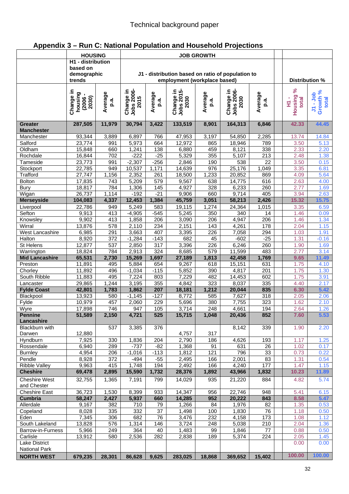|  |  |  |  | Appendix 3 - Run C: National Population and Household Projections |  |
|--|--|--|--|-------------------------------------------------------------------|--|
|--|--|--|--|-------------------------------------------------------------------|--|

|                                     | <b>HOUSING</b>       |              | <b>JOB GROWTH</b>              |                  |                              |                  |                                                   |                  |  |                |                        |
|-------------------------------------|----------------------|--------------|--------------------------------|------------------|------------------------------|------------------|---------------------------------------------------|------------------|--|----------------|------------------------|
|                                     | H1 - distribution    |              |                                |                  |                              |                  |                                                   |                  |  |                |                        |
|                                     | based on             |              |                                |                  |                              |                  |                                                   |                  |  |                |                        |
|                                     | demographic          |              |                                |                  |                              |                  | J1 - distribution based on ratio of population to |                  |  |                |                        |
|                                     | trends               |              |                                |                  | employment (workplace based) |                  |                                                   |                  |  | Distribution % |                        |
|                                     |                      |              |                                |                  |                              |                  |                                                   |                  |  | $\aleph$       |                        |
|                                     | Change in<br>housing | Average      | <b>Jobs 2006-</b><br>Change in | Average          |                              | Average          |                                                   | Average          |  | Housing        | Growth %<br>$J1 - Job$ |
|                                     | 2030)<br>(2006)      | p.a.         | 2015                           | p.a.             | 2030                         | p.a.             |                                                   | p.a.             |  | total<br>Ξ     | total                  |
|                                     |                      |              |                                |                  | Change in<br>Jobs 2015-      |                  | Change in<br>Jobs 2006-<br>2030                   |                  |  |                |                        |
| <b>Greater</b>                      | 287,505              | 11,979       | 30,794                         | 3,422            | 133,519                      | 8,901            | 164,313                                           | 6,846            |  | 42.33          | 44.45                  |
| <b>Manchester</b>                   |                      |              |                                |                  |                              |                  |                                                   |                  |  |                |                        |
| Manchester                          | 93,344               | 3,889        | 6,897                          | 766              | 47,953                       | 3,197            | 54,850                                            | 2,285            |  | 13.74          | 14.84                  |
| Salford                             | 23,774               | 991          | 5,973                          | 664              | 12,972                       | 865              | 18,946                                            | 789              |  | 3.50           | 5.13                   |
| Oldham                              | 15,848               | 660          | 1,241                          | 138              | 6,880                        | 459              | 8,121                                             | 338              |  | 2.33           | 2.20                   |
| Rochdale                            | 16,844               | 702          | $-222$                         | $-25$            | 5,329                        | 355              | 5,107                                             | $\overline{213}$ |  | 2.48           | 1.38                   |
| Tameside                            | 23,773               | 991          | $-2,307$                       | $-256$           | 2,846                        | 190              | 538                                               | $\overline{22}$  |  | 3.50           | 0.15                   |
| Stockport                           | 22,785               | 949          | 10,537                         | 1,171            | 14,639                       | $\overline{976}$ | 25,176                                            | 1,049            |  | 3.35           | 6.81                   |
| Trafford                            | 27,747               | 1,156        | 2,352                          | 261              | 18,500                       | 1,233            | 20,852                                            | 869              |  | 4.09           | 5.64                   |
| <b>Bolton</b>                       | 17,835               | 743          | 5,209                          | 579              | 9,567                        | 638<br>328       | 14,775                                            | 616<br>260       |  | 2.63           | 4.00                   |
| Bury<br>Wigan                       | 18,817<br>26,737     | 784<br>1,114 | 1,306<br>$-192$                | 145<br>$-21$     | 4,927<br>9,906               | 660              | 6,233<br>9,714                                    | 405              |  | 2.77<br>3.94   | 1.69<br>2.63           |
| <b>Merseyside</b>                   | 104,083              | 4,337        | 12,453                         | 1,384            | 45,759                       | 3,051            | 58,213                                            | 2,426            |  | 15.32          | 15.75                  |
| Liverpool                           | 22,786               | 949          | 5,249                          | 583              | 19,115                       | 1,274            | 24,364                                            | 1,015            |  | 3.35           | 6.59                   |
| Sefton                              | 9,913                | 413          | $-4,905$                       | $-545$           | 5,245                        | 350              | 340                                               | 14               |  | 1.46           | 0.09                   |
| Knowsley                            | 9,902                | 413          | 1,858                          | 206              | 3,090                        | 206              | 4,947                                             | 206              |  | 1.46           | 1.34                   |
| Wirral                              | 13,876               | 578          | 2,110                          | 234              | 2,151                        | 143              | 4,261                                             | 178              |  | 2.04           | 1.15                   |
| West Lancashire                     | 6,985                | 291          | 3,663                          | 407              | 3,395                        | 226              | 7,058                                             | 294              |  | 1.03           | 1.91                   |
| Halton                              | 8,920                | 372          | $-1,284$                       | $-143$           | 682                          | 45               | $-602$                                            | $-25$            |  | 1.31           | $-0.16$                |
| St Helens                           | 12,877               | 537          | 2,850                          | $\overline{317}$ | 3,396                        | 226              | 6,246                                             | 260              |  | 1.90           | 1.69                   |
| Warrington                          | 18,824               | 784          | 2,913                          | 324              | 8,685                        | 579              | 11,599                                            | 483              |  | 2.77           | 3.14                   |
| <b>Mid Lancashire</b>               | 65,531               | 2,730        | 15,269                         | 1,697            | 27,189                       | 1,813            | 42,458                                            | 1,769            |  | 9.65           | 11.49                  |
| Preston                             | 11,891               | 495          | 5,884                          | 654              | 9,267                        | 618              | 15,151                                            | 631              |  | 1.75           | 4.10                   |
| Chorley                             | 11,892               | 496          | $-1,034$                       | $-115$           | 5,852                        | 390              | 4,817                                             | 201              |  | 1.75           | 1.30                   |
| South Ribble                        | 11,883               | 495          | 7,224                          | 803              | 7,229                        | 482              | 14,453                                            | 602              |  | 1.75           | 3.91                   |
| Lancaster                           | 29,865               | 1,244        | 3,195                          | 355              | 4,842                        | 323              | 8,037                                             | 335              |  | 4.40           | 2.17                   |
| <b>Fylde Coast</b>                  | 42,801               | 1,783        | 1,862                          | 207              | 18,181                       | 1,212            | 20,044                                            | 835              |  | 6.30           | 5.42                   |
| Blackpool                           | 13,923               | 580          | $-1,145$                       | $-127$           | 8,772                        | 585              | 7,627                                             | 318              |  | 2.05           | 2.06                   |
| Fylde                               | 10,979               | 457          | 2,060                          | 229              | 5,696                        | 380              | 7,755                                             | 323              |  | 1.62           | 2.10                   |
| Wyre                                | 17,898               | 746          | 947                            | 105              | 3,714<br>15,715              | 248              | 4,661                                             | 194              |  | 2.64           | 1.26                   |
| <b>Pennine</b><br>Lancashire        | 51,589               | 2,150        | 4,721                          | 525              |                              | 1,048            | 20,436                                            | 852              |  | 7.60           | 5.53                   |
| Blackburn with                      |                      | 537          | 3,385                          | 376              |                              |                  | 8,142                                             | 339              |  | 1.90           | 2.20                   |
| Darwen                              | 12,880               |              |                                |                  | 4,757                        | 317              |                                                   |                  |  |                |                        |
| Hyndburn                            | 7,925                | 330          | 1,836                          | 204              | 2,790                        | 186              | 4,626                                             | 193              |  | 1.17           | 1.25                   |
| Rossendale                          | 6,940                | 289          | $-737$                         | $-82$            | 1,368                        | 91               | 631                                               | 26               |  | 1.02           | 0.17                   |
| <b>Burnley</b>                      | 4,954                | 206          | $-1,016$                       | $-113$           | 1,812                        | 121              | 796                                               | 33               |  | 0.73           | 0.22                   |
| Pendle                              | 8,928                | 372          | $-494$                         | $-55$            | 2,495                        | 166              | 2,001                                             | 83               |  | 1.31           | 0.54                   |
| <b>Ribble Valley</b>                | 9,963                | 415          | 1,748                          | 194              | 2,492                        | 166              | 4,240                                             | 177              |  | 1.47           | 1.15                   |
| <b>Cheshire</b>                     | 69,478               | 2,895        | 15,590                         | 1,732            | 28,376                       | 1,892            | 43,966                                            | 1,832            |  | 10.23          | 11.89                  |
| <b>Cheshire West</b><br>and Chester | 32,755               | 1,365        | 7,191                          | 799              | 14,029                       | 935              | 21,220                                            | 884              |  | 4.82           | 5.74                   |
| <b>Cheshire East</b>                | 36,723               | 1,530        | 8,399                          | 933              | 14,347                       | 956              | 22,746                                            | 948              |  | 5.41           | 6.15                   |
| <b>Cumbria</b>                      | 58,247               | 2,427        | 5,937                          | 660              | 14,285                       | 952              | 20,222                                            | 843              |  | 8.58           | 5.47                   |
| Allerdale                           | 9,167                | 382          | 710                            | 79               | 1,266                        | 84               | 1,976                                             | 82               |  | 1.35           | 0.53                   |
| Copeland                            | 8,028                | 335          | 332                            | 37               | 1,498                        | 100              | 1,830                                             | 76               |  | 1.18           | 0.50                   |
| Eden                                | 7,345                | 306          | 682                            | 76               | 3,476                        | 232              | 4,158                                             | 173              |  | 1.08           | 1.12                   |
| South Lakeland                      | 13,828               | 576          | 1,314                          | 146              | 3,724                        | 248              | 5,038                                             | 210              |  | 2.04           | 1.36                   |
| Barrow-in-Furness                   | 5,966                | 249          | 364                            | 40               | 1,483                        | 99               | 1,846                                             | 77               |  | 0.88           | 0.50                   |
| Carlisle                            | 13,912               | 580          | 2,536                          | 282              | 2,838                        | 189              | 5,374                                             | 224              |  | 2.05           | 1.45                   |
| Lake District                       |                      |              |                                |                  |                              |                  |                                                   |                  |  | 0.00           | 0.00                   |
| National Park                       |                      |              |                                |                  |                              |                  |                                                   |                  |  |                |                        |
| <b>NORTH WEST</b>                   | 679,235              | 28,301       | 86,628                         | 9,625            | 283,025                      | 18,868           | 369,652                                           | 15,402           |  | 100.00         | 100.00                 |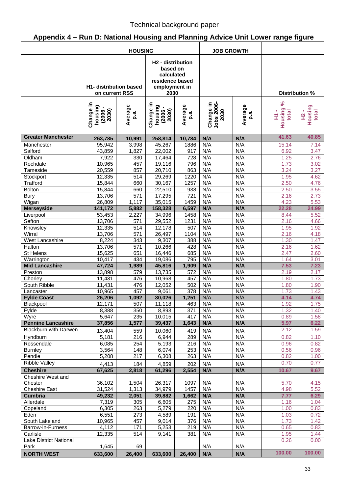# **Appendix 4 – Run D: National Housing and Planning Advice Unit Lower range figure**

| H <sub>2</sub> - distribution<br>based on<br>calculated<br>residence based<br><b>H1- distribution based</b><br>employment in<br>2030<br>Distribution %<br>on current RSS<br>ಸಿ<br><b>Jobs 2006-</b><br>Change in<br>Change in<br>Change in<br>Average<br>Average<br>Average<br>housing<br>housing<br>Housing<br>$(2006 -$<br>$2030)$<br>Housing<br>$(2006 -$<br>$2030)$<br>2030<br>total<br>total<br>×<br>p.a.<br>p.a.<br>p.a.<br>오<br>도<br>Ξ<br><b>Greater Manchester</b><br>41.63<br>40.85<br>10,991<br>258,814<br>10,784<br>N/A<br>N/A<br>263,785<br>95,942<br>N/A<br>N/A<br>3,998<br>45,267<br>1886<br>15.14<br>7.14<br>Manchester<br>N/A<br>N/A<br>3.47<br>43,859<br>1,827<br>22,002<br>917<br>6.92<br>Salford<br>7,922<br>330<br>17,464<br>728<br>N/A<br>N/A<br>1.25<br>2.76<br>Oldham<br>N/A<br>N/A<br>Rochdale<br>457<br>796<br>3.02<br>10,965<br>19,116<br>1.73<br>N/A<br>N/A<br>857<br>20,710<br>863<br>3.24<br>3.27<br>Tameside<br>20,559<br>N/A<br>12,335<br>$51\overline{4}$<br>29,269<br>1220<br>N/A<br>1.95<br>Stockport<br>4.62<br>15,844<br>1257<br>N/A<br>N/A<br>Trafford<br>660<br>30,167<br>2.50<br>4.76<br><b>Bolton</b><br>22,510<br>938<br>N/A<br>N/A<br>2.50<br>15,844<br>660<br>3.55<br>$\overline{571}$<br>$\overline{721}$<br>N/A<br>N/A<br>13,706<br>17,295<br>2.73<br><b>Bury</b><br>2.16<br>N/A<br>N/A<br>Wigan<br>1,117<br>35,015<br>1459<br>4.23<br>5.53<br>26,809<br>N/A<br>N/A<br><b>Merseyside</b><br>141,172<br>5,882<br>158,328<br>6,597<br>22.28<br>24.99<br>2,227<br>N/A<br>N/A<br>53,453<br>34,996<br>1458<br>8.44<br>5.52<br>Liverpool<br>N/A<br>N/A<br>Sefton<br>13,706<br>571<br>29,552<br>1231<br>2.16<br>4.66<br>Knowsley<br>514<br>507<br>N/A<br>N/A<br>1.95<br>12,335<br>12,178<br>1.92<br>N/A<br>N/A<br>Wirral<br>13,706<br>571<br>26,497<br>1104<br>2.16<br>4.18<br>8,224<br>9,307<br>N/A<br>N/A<br><b>West Lancashire</b><br>343<br>388<br>1.30<br>1.47<br>N/A<br>13,706<br>$\overline{571}$<br>N/A<br>2.16<br>Halton<br>10,266<br>428<br>1.62<br>N/A<br>N/A<br>2.47<br>2.60<br>St Helens<br>15,625<br>651<br>16,446<br>685<br>Warrington<br>795<br>N/A<br>N/A<br>3.01<br>10,417<br>434<br>19,086<br>1.64<br><b>N/A</b><br>N/A<br>7.53<br>7.23<br><b>Mid Lancashire</b><br>47,724<br>1,989<br>45,816<br>1,909<br>N/A<br>N/A<br>13,898<br>13,735<br>572<br>2.19<br>2.17<br>Preston<br>579<br>N/A<br>N/A<br>476<br>1.73<br>11,431<br>10,968<br>457<br>1.80<br>Chorley<br>N/A<br>N/A<br>11,431<br>476<br>502<br>South Ribble<br>12,052<br>1.80<br>1.90<br>378<br>457<br>N/A<br>N/A<br>Lancaster<br>10,965<br>9,061<br>1.73<br>1.43<br>1,251<br>N/A<br>N/A<br>4.74<br><b>Fylde Coast</b><br>26,206<br>1,092<br>30,026<br>4.14<br>N/A<br>507<br>463<br>N/A<br>12,171<br>11,118<br>1.92<br>1.75<br>Blackpool<br>350<br>8,893<br>N/A<br>N/A<br>1.32<br>Fylde<br>8,388<br>371<br>1.40<br>N/A<br>5,647<br>235<br>417<br>N/A<br>0.89<br>1.58<br>Wyre<br>10,015<br><b>Pennine Lancashire</b><br>1,577<br>N/A<br>N/A<br>37,856<br>39,437<br>1,643<br>5.97<br>6.22<br><b>Blackburn with Darwen</b><br>2.12<br>1.59<br>13,404<br>10,060<br>419<br>N/A<br>N/A<br>559<br>5,181<br>216<br>6,944<br>289<br>N/A<br>N/A<br>0.82<br>Hyndburn<br>1.10<br>Rossendale<br>254<br>5,193<br>N/A<br>N/A<br>0.96<br>6,085<br>216<br>0.82<br>N/A<br>3,564<br>148<br>6,074<br>N/A<br>253<br>0.56<br><b>Burnley</b><br>0.96<br>5,208<br>217<br>6,308<br>N/A<br>N/A<br>0.82<br>Pendle<br>263<br>1.00<br><b>Ribble Valley</b><br>0.70<br>0.77<br>4,859<br>N/A<br>N/A<br>4,413<br>184<br>202<br>67,625<br>2,818<br>61,296<br>2,554<br>N/A<br>N/A<br><b>Cheshire</b><br>10.67<br>9.67<br>Cheshire West and<br>36,102<br>1,504<br>26,317<br>N/A<br>N/A<br>5.70<br>Chester<br>1097<br>4.15<br>N/A<br>N/A<br><b>Cheshire East</b><br>31,524<br>1,313<br>34,979<br>1457<br>4.98<br>5.52<br>N/A<br>49,232<br>2,051<br>39,882<br>1,662<br><b>N/A</b><br>7.77<br>6.29<br><b>Cumbria</b><br>7,319<br>Allerdale<br>275<br>N/A<br>N/A<br>1.16<br>305<br>6,605<br>1.04<br>N/A<br>N/A<br>6,305<br>263<br>5,279<br>220<br>1.00<br>0.83<br>Copeland<br>6,551<br>4,589<br>N/A<br>N/A<br>Eden<br>273<br>191<br>1.03<br>0.72<br>457<br>N/A<br>1.73<br>South Lakeland<br>10,965<br>9,014<br>376<br>N/A<br>1.42<br>N/A<br>N/A<br>4,112<br>171<br>5,253<br>219<br>0.65<br>0.83<br>Barrow-in-Furness<br>12,335<br>381<br>N/A<br>N/A<br>514<br>9,141<br>1.95<br>Carlisle<br>1.44<br>Lake District National<br>0.26<br>0.00<br>1,645<br>69<br>N/A<br>N/A<br>Park<br>100.00<br>100.00<br><b>NORTH WEST</b><br>633,600<br>26,400<br>633,600<br>26,400<br>N/A<br>N/A | <b>HOUSING</b> |  |  |  | <b>JOB GROWTH</b> |  |  |  |
|----------------------------------------------------------------------------------------------------------------------------------------------------------------------------------------------------------------------------------------------------------------------------------------------------------------------------------------------------------------------------------------------------------------------------------------------------------------------------------------------------------------------------------------------------------------------------------------------------------------------------------------------------------------------------------------------------------------------------------------------------------------------------------------------------------------------------------------------------------------------------------------------------------------------------------------------------------------------------------------------------------------------------------------------------------------------------------------------------------------------------------------------------------------------------------------------------------------------------------------------------------------------------------------------------------------------------------------------------------------------------------------------------------------------------------------------------------------------------------------------------------------------------------------------------------------------------------------------------------------------------------------------------------------------------------------------------------------------------------------------------------------------------------------------------------------------------------------------------------------------------------------------------------------------------------------------------------------------------------------------------------------------------------------------------------------------------------------------------------------------------------------------------------------------------------------------------------------------------------------------------------------------------------------------------------------------------------------------------------------------------------------------------------------------------------------------------------------------------------------------------------------------------------------------------------------------------------------------------------------------------------------------------------------------------------------------------------------------------------------------------------------------------------------------------------------------------------------------------------------------------------------------------------------------------------------------------------------------------------------------------------------------------------------------------------------------------------------------------------------------------------------------------------------------------------------------------------------------------------------------------------------------------------------------------------------------------------------------------------------------------------------------------------------------------------------------------------------------------------------------------------------------------------------------------------------------------------------------------------------------------------------------------------------------------------------------------------------------------------------------------------------------------------------------------------------------------------------------------------------------------------------------------------------------------------------------------------------------------------------------------------------------------------------------------------------------------------------------------------------------------------------------------------------------------------------------------------------------------------------------------------------------------------------------------------------------------------------------------------------------------------------------------------------------------------------------------------------------------------------------------------------------------------------------------------|----------------|--|--|--|-------------------|--|--|--|
|                                                                                                                                                                                                                                                                                                                                                                                                                                                                                                                                                                                                                                                                                                                                                                                                                                                                                                                                                                                                                                                                                                                                                                                                                                                                                                                                                                                                                                                                                                                                                                                                                                                                                                                                                                                                                                                                                                                                                                                                                                                                                                                                                                                                                                                                                                                                                                                                                                                                                                                                                                                                                                                                                                                                                                                                                                                                                                                                                                                                                                                                                                                                                                                                                                                                                                                                                                                                                                                                                                                                                                                                                                                                                                                                                                                                                                                                                                                                                                                                                                                                                                                                                                                                                                                                                                                                                                                                                                                                                                                                                          |                |  |  |  |                   |  |  |  |
|                                                                                                                                                                                                                                                                                                                                                                                                                                                                                                                                                                                                                                                                                                                                                                                                                                                                                                                                                                                                                                                                                                                                                                                                                                                                                                                                                                                                                                                                                                                                                                                                                                                                                                                                                                                                                                                                                                                                                                                                                                                                                                                                                                                                                                                                                                                                                                                                                                                                                                                                                                                                                                                                                                                                                                                                                                                                                                                                                                                                                                                                                                                                                                                                                                                                                                                                                                                                                                                                                                                                                                                                                                                                                                                                                                                                                                                                                                                                                                                                                                                                                                                                                                                                                                                                                                                                                                                                                                                                                                                                                          |                |  |  |  |                   |  |  |  |
|                                                                                                                                                                                                                                                                                                                                                                                                                                                                                                                                                                                                                                                                                                                                                                                                                                                                                                                                                                                                                                                                                                                                                                                                                                                                                                                                                                                                                                                                                                                                                                                                                                                                                                                                                                                                                                                                                                                                                                                                                                                                                                                                                                                                                                                                                                                                                                                                                                                                                                                                                                                                                                                                                                                                                                                                                                                                                                                                                                                                                                                                                                                                                                                                                                                                                                                                                                                                                                                                                                                                                                                                                                                                                                                                                                                                                                                                                                                                                                                                                                                                                                                                                                                                                                                                                                                                                                                                                                                                                                                                                          |                |  |  |  |                   |  |  |  |
|                                                                                                                                                                                                                                                                                                                                                                                                                                                                                                                                                                                                                                                                                                                                                                                                                                                                                                                                                                                                                                                                                                                                                                                                                                                                                                                                                                                                                                                                                                                                                                                                                                                                                                                                                                                                                                                                                                                                                                                                                                                                                                                                                                                                                                                                                                                                                                                                                                                                                                                                                                                                                                                                                                                                                                                                                                                                                                                                                                                                                                                                                                                                                                                                                                                                                                                                                                                                                                                                                                                                                                                                                                                                                                                                                                                                                                                                                                                                                                                                                                                                                                                                                                                                                                                                                                                                                                                                                                                                                                                                                          |                |  |  |  |                   |  |  |  |
|                                                                                                                                                                                                                                                                                                                                                                                                                                                                                                                                                                                                                                                                                                                                                                                                                                                                                                                                                                                                                                                                                                                                                                                                                                                                                                                                                                                                                                                                                                                                                                                                                                                                                                                                                                                                                                                                                                                                                                                                                                                                                                                                                                                                                                                                                                                                                                                                                                                                                                                                                                                                                                                                                                                                                                                                                                                                                                                                                                                                                                                                                                                                                                                                                                                                                                                                                                                                                                                                                                                                                                                                                                                                                                                                                                                                                                                                                                                                                                                                                                                                                                                                                                                                                                                                                                                                                                                                                                                                                                                                                          |                |  |  |  |                   |  |  |  |
|                                                                                                                                                                                                                                                                                                                                                                                                                                                                                                                                                                                                                                                                                                                                                                                                                                                                                                                                                                                                                                                                                                                                                                                                                                                                                                                                                                                                                                                                                                                                                                                                                                                                                                                                                                                                                                                                                                                                                                                                                                                                                                                                                                                                                                                                                                                                                                                                                                                                                                                                                                                                                                                                                                                                                                                                                                                                                                                                                                                                                                                                                                                                                                                                                                                                                                                                                                                                                                                                                                                                                                                                                                                                                                                                                                                                                                                                                                                                                                                                                                                                                                                                                                                                                                                                                                                                                                                                                                                                                                                                                          |                |  |  |  |                   |  |  |  |
|                                                                                                                                                                                                                                                                                                                                                                                                                                                                                                                                                                                                                                                                                                                                                                                                                                                                                                                                                                                                                                                                                                                                                                                                                                                                                                                                                                                                                                                                                                                                                                                                                                                                                                                                                                                                                                                                                                                                                                                                                                                                                                                                                                                                                                                                                                                                                                                                                                                                                                                                                                                                                                                                                                                                                                                                                                                                                                                                                                                                                                                                                                                                                                                                                                                                                                                                                                                                                                                                                                                                                                                                                                                                                                                                                                                                                                                                                                                                                                                                                                                                                                                                                                                                                                                                                                                                                                                                                                                                                                                                                          |                |  |  |  |                   |  |  |  |
|                                                                                                                                                                                                                                                                                                                                                                                                                                                                                                                                                                                                                                                                                                                                                                                                                                                                                                                                                                                                                                                                                                                                                                                                                                                                                                                                                                                                                                                                                                                                                                                                                                                                                                                                                                                                                                                                                                                                                                                                                                                                                                                                                                                                                                                                                                                                                                                                                                                                                                                                                                                                                                                                                                                                                                                                                                                                                                                                                                                                                                                                                                                                                                                                                                                                                                                                                                                                                                                                                                                                                                                                                                                                                                                                                                                                                                                                                                                                                                                                                                                                                                                                                                                                                                                                                                                                                                                                                                                                                                                                                          |                |  |  |  |                   |  |  |  |
|                                                                                                                                                                                                                                                                                                                                                                                                                                                                                                                                                                                                                                                                                                                                                                                                                                                                                                                                                                                                                                                                                                                                                                                                                                                                                                                                                                                                                                                                                                                                                                                                                                                                                                                                                                                                                                                                                                                                                                                                                                                                                                                                                                                                                                                                                                                                                                                                                                                                                                                                                                                                                                                                                                                                                                                                                                                                                                                                                                                                                                                                                                                                                                                                                                                                                                                                                                                                                                                                                                                                                                                                                                                                                                                                                                                                                                                                                                                                                                                                                                                                                                                                                                                                                                                                                                                                                                                                                                                                                                                                                          |                |  |  |  |                   |  |  |  |
|                                                                                                                                                                                                                                                                                                                                                                                                                                                                                                                                                                                                                                                                                                                                                                                                                                                                                                                                                                                                                                                                                                                                                                                                                                                                                                                                                                                                                                                                                                                                                                                                                                                                                                                                                                                                                                                                                                                                                                                                                                                                                                                                                                                                                                                                                                                                                                                                                                                                                                                                                                                                                                                                                                                                                                                                                                                                                                                                                                                                                                                                                                                                                                                                                                                                                                                                                                                                                                                                                                                                                                                                                                                                                                                                                                                                                                                                                                                                                                                                                                                                                                                                                                                                                                                                                                                                                                                                                                                                                                                                                          |                |  |  |  |                   |  |  |  |
|                                                                                                                                                                                                                                                                                                                                                                                                                                                                                                                                                                                                                                                                                                                                                                                                                                                                                                                                                                                                                                                                                                                                                                                                                                                                                                                                                                                                                                                                                                                                                                                                                                                                                                                                                                                                                                                                                                                                                                                                                                                                                                                                                                                                                                                                                                                                                                                                                                                                                                                                                                                                                                                                                                                                                                                                                                                                                                                                                                                                                                                                                                                                                                                                                                                                                                                                                                                                                                                                                                                                                                                                                                                                                                                                                                                                                                                                                                                                                                                                                                                                                                                                                                                                                                                                                                                                                                                                                                                                                                                                                          |                |  |  |  |                   |  |  |  |
|                                                                                                                                                                                                                                                                                                                                                                                                                                                                                                                                                                                                                                                                                                                                                                                                                                                                                                                                                                                                                                                                                                                                                                                                                                                                                                                                                                                                                                                                                                                                                                                                                                                                                                                                                                                                                                                                                                                                                                                                                                                                                                                                                                                                                                                                                                                                                                                                                                                                                                                                                                                                                                                                                                                                                                                                                                                                                                                                                                                                                                                                                                                                                                                                                                                                                                                                                                                                                                                                                                                                                                                                                                                                                                                                                                                                                                                                                                                                                                                                                                                                                                                                                                                                                                                                                                                                                                                                                                                                                                                                                          |                |  |  |  |                   |  |  |  |
|                                                                                                                                                                                                                                                                                                                                                                                                                                                                                                                                                                                                                                                                                                                                                                                                                                                                                                                                                                                                                                                                                                                                                                                                                                                                                                                                                                                                                                                                                                                                                                                                                                                                                                                                                                                                                                                                                                                                                                                                                                                                                                                                                                                                                                                                                                                                                                                                                                                                                                                                                                                                                                                                                                                                                                                                                                                                                                                                                                                                                                                                                                                                                                                                                                                                                                                                                                                                                                                                                                                                                                                                                                                                                                                                                                                                                                                                                                                                                                                                                                                                                                                                                                                                                                                                                                                                                                                                                                                                                                                                                          |                |  |  |  |                   |  |  |  |
|                                                                                                                                                                                                                                                                                                                                                                                                                                                                                                                                                                                                                                                                                                                                                                                                                                                                                                                                                                                                                                                                                                                                                                                                                                                                                                                                                                                                                                                                                                                                                                                                                                                                                                                                                                                                                                                                                                                                                                                                                                                                                                                                                                                                                                                                                                                                                                                                                                                                                                                                                                                                                                                                                                                                                                                                                                                                                                                                                                                                                                                                                                                                                                                                                                                                                                                                                                                                                                                                                                                                                                                                                                                                                                                                                                                                                                                                                                                                                                                                                                                                                                                                                                                                                                                                                                                                                                                                                                                                                                                                                          |                |  |  |  |                   |  |  |  |
|                                                                                                                                                                                                                                                                                                                                                                                                                                                                                                                                                                                                                                                                                                                                                                                                                                                                                                                                                                                                                                                                                                                                                                                                                                                                                                                                                                                                                                                                                                                                                                                                                                                                                                                                                                                                                                                                                                                                                                                                                                                                                                                                                                                                                                                                                                                                                                                                                                                                                                                                                                                                                                                                                                                                                                                                                                                                                                                                                                                                                                                                                                                                                                                                                                                                                                                                                                                                                                                                                                                                                                                                                                                                                                                                                                                                                                                                                                                                                                                                                                                                                                                                                                                                                                                                                                                                                                                                                                                                                                                                                          |                |  |  |  |                   |  |  |  |
|                                                                                                                                                                                                                                                                                                                                                                                                                                                                                                                                                                                                                                                                                                                                                                                                                                                                                                                                                                                                                                                                                                                                                                                                                                                                                                                                                                                                                                                                                                                                                                                                                                                                                                                                                                                                                                                                                                                                                                                                                                                                                                                                                                                                                                                                                                                                                                                                                                                                                                                                                                                                                                                                                                                                                                                                                                                                                                                                                                                                                                                                                                                                                                                                                                                                                                                                                                                                                                                                                                                                                                                                                                                                                                                                                                                                                                                                                                                                                                                                                                                                                                                                                                                                                                                                                                                                                                                                                                                                                                                                                          |                |  |  |  |                   |  |  |  |
|                                                                                                                                                                                                                                                                                                                                                                                                                                                                                                                                                                                                                                                                                                                                                                                                                                                                                                                                                                                                                                                                                                                                                                                                                                                                                                                                                                                                                                                                                                                                                                                                                                                                                                                                                                                                                                                                                                                                                                                                                                                                                                                                                                                                                                                                                                                                                                                                                                                                                                                                                                                                                                                                                                                                                                                                                                                                                                                                                                                                                                                                                                                                                                                                                                                                                                                                                                                                                                                                                                                                                                                                                                                                                                                                                                                                                                                                                                                                                                                                                                                                                                                                                                                                                                                                                                                                                                                                                                                                                                                                                          |                |  |  |  |                   |  |  |  |
|                                                                                                                                                                                                                                                                                                                                                                                                                                                                                                                                                                                                                                                                                                                                                                                                                                                                                                                                                                                                                                                                                                                                                                                                                                                                                                                                                                                                                                                                                                                                                                                                                                                                                                                                                                                                                                                                                                                                                                                                                                                                                                                                                                                                                                                                                                                                                                                                                                                                                                                                                                                                                                                                                                                                                                                                                                                                                                                                                                                                                                                                                                                                                                                                                                                                                                                                                                                                                                                                                                                                                                                                                                                                                                                                                                                                                                                                                                                                                                                                                                                                                                                                                                                                                                                                                                                                                                                                                                                                                                                                                          |                |  |  |  |                   |  |  |  |
|                                                                                                                                                                                                                                                                                                                                                                                                                                                                                                                                                                                                                                                                                                                                                                                                                                                                                                                                                                                                                                                                                                                                                                                                                                                                                                                                                                                                                                                                                                                                                                                                                                                                                                                                                                                                                                                                                                                                                                                                                                                                                                                                                                                                                                                                                                                                                                                                                                                                                                                                                                                                                                                                                                                                                                                                                                                                                                                                                                                                                                                                                                                                                                                                                                                                                                                                                                                                                                                                                                                                                                                                                                                                                                                                                                                                                                                                                                                                                                                                                                                                                                                                                                                                                                                                                                                                                                                                                                                                                                                                                          |                |  |  |  |                   |  |  |  |
|                                                                                                                                                                                                                                                                                                                                                                                                                                                                                                                                                                                                                                                                                                                                                                                                                                                                                                                                                                                                                                                                                                                                                                                                                                                                                                                                                                                                                                                                                                                                                                                                                                                                                                                                                                                                                                                                                                                                                                                                                                                                                                                                                                                                                                                                                                                                                                                                                                                                                                                                                                                                                                                                                                                                                                                                                                                                                                                                                                                                                                                                                                                                                                                                                                                                                                                                                                                                                                                                                                                                                                                                                                                                                                                                                                                                                                                                                                                                                                                                                                                                                                                                                                                                                                                                                                                                                                                                                                                                                                                                                          |                |  |  |  |                   |  |  |  |
|                                                                                                                                                                                                                                                                                                                                                                                                                                                                                                                                                                                                                                                                                                                                                                                                                                                                                                                                                                                                                                                                                                                                                                                                                                                                                                                                                                                                                                                                                                                                                                                                                                                                                                                                                                                                                                                                                                                                                                                                                                                                                                                                                                                                                                                                                                                                                                                                                                                                                                                                                                                                                                                                                                                                                                                                                                                                                                                                                                                                                                                                                                                                                                                                                                                                                                                                                                                                                                                                                                                                                                                                                                                                                                                                                                                                                                                                                                                                                                                                                                                                                                                                                                                                                                                                                                                                                                                                                                                                                                                                                          |                |  |  |  |                   |  |  |  |
|                                                                                                                                                                                                                                                                                                                                                                                                                                                                                                                                                                                                                                                                                                                                                                                                                                                                                                                                                                                                                                                                                                                                                                                                                                                                                                                                                                                                                                                                                                                                                                                                                                                                                                                                                                                                                                                                                                                                                                                                                                                                                                                                                                                                                                                                                                                                                                                                                                                                                                                                                                                                                                                                                                                                                                                                                                                                                                                                                                                                                                                                                                                                                                                                                                                                                                                                                                                                                                                                                                                                                                                                                                                                                                                                                                                                                                                                                                                                                                                                                                                                                                                                                                                                                                                                                                                                                                                                                                                                                                                                                          |                |  |  |  |                   |  |  |  |
|                                                                                                                                                                                                                                                                                                                                                                                                                                                                                                                                                                                                                                                                                                                                                                                                                                                                                                                                                                                                                                                                                                                                                                                                                                                                                                                                                                                                                                                                                                                                                                                                                                                                                                                                                                                                                                                                                                                                                                                                                                                                                                                                                                                                                                                                                                                                                                                                                                                                                                                                                                                                                                                                                                                                                                                                                                                                                                                                                                                                                                                                                                                                                                                                                                                                                                                                                                                                                                                                                                                                                                                                                                                                                                                                                                                                                                                                                                                                                                                                                                                                                                                                                                                                                                                                                                                                                                                                                                                                                                                                                          |                |  |  |  |                   |  |  |  |
|                                                                                                                                                                                                                                                                                                                                                                                                                                                                                                                                                                                                                                                                                                                                                                                                                                                                                                                                                                                                                                                                                                                                                                                                                                                                                                                                                                                                                                                                                                                                                                                                                                                                                                                                                                                                                                                                                                                                                                                                                                                                                                                                                                                                                                                                                                                                                                                                                                                                                                                                                                                                                                                                                                                                                                                                                                                                                                                                                                                                                                                                                                                                                                                                                                                                                                                                                                                                                                                                                                                                                                                                                                                                                                                                                                                                                                                                                                                                                                                                                                                                                                                                                                                                                                                                                                                                                                                                                                                                                                                                                          |                |  |  |  |                   |  |  |  |
|                                                                                                                                                                                                                                                                                                                                                                                                                                                                                                                                                                                                                                                                                                                                                                                                                                                                                                                                                                                                                                                                                                                                                                                                                                                                                                                                                                                                                                                                                                                                                                                                                                                                                                                                                                                                                                                                                                                                                                                                                                                                                                                                                                                                                                                                                                                                                                                                                                                                                                                                                                                                                                                                                                                                                                                                                                                                                                                                                                                                                                                                                                                                                                                                                                                                                                                                                                                                                                                                                                                                                                                                                                                                                                                                                                                                                                                                                                                                                                                                                                                                                                                                                                                                                                                                                                                                                                                                                                                                                                                                                          |                |  |  |  |                   |  |  |  |
|                                                                                                                                                                                                                                                                                                                                                                                                                                                                                                                                                                                                                                                                                                                                                                                                                                                                                                                                                                                                                                                                                                                                                                                                                                                                                                                                                                                                                                                                                                                                                                                                                                                                                                                                                                                                                                                                                                                                                                                                                                                                                                                                                                                                                                                                                                                                                                                                                                                                                                                                                                                                                                                                                                                                                                                                                                                                                                                                                                                                                                                                                                                                                                                                                                                                                                                                                                                                                                                                                                                                                                                                                                                                                                                                                                                                                                                                                                                                                                                                                                                                                                                                                                                                                                                                                                                                                                                                                                                                                                                                                          |                |  |  |  |                   |  |  |  |
|                                                                                                                                                                                                                                                                                                                                                                                                                                                                                                                                                                                                                                                                                                                                                                                                                                                                                                                                                                                                                                                                                                                                                                                                                                                                                                                                                                                                                                                                                                                                                                                                                                                                                                                                                                                                                                                                                                                                                                                                                                                                                                                                                                                                                                                                                                                                                                                                                                                                                                                                                                                                                                                                                                                                                                                                                                                                                                                                                                                                                                                                                                                                                                                                                                                                                                                                                                                                                                                                                                                                                                                                                                                                                                                                                                                                                                                                                                                                                                                                                                                                                                                                                                                                                                                                                                                                                                                                                                                                                                                                                          |                |  |  |  |                   |  |  |  |
|                                                                                                                                                                                                                                                                                                                                                                                                                                                                                                                                                                                                                                                                                                                                                                                                                                                                                                                                                                                                                                                                                                                                                                                                                                                                                                                                                                                                                                                                                                                                                                                                                                                                                                                                                                                                                                                                                                                                                                                                                                                                                                                                                                                                                                                                                                                                                                                                                                                                                                                                                                                                                                                                                                                                                                                                                                                                                                                                                                                                                                                                                                                                                                                                                                                                                                                                                                                                                                                                                                                                                                                                                                                                                                                                                                                                                                                                                                                                                                                                                                                                                                                                                                                                                                                                                                                                                                                                                                                                                                                                                          |                |  |  |  |                   |  |  |  |
|                                                                                                                                                                                                                                                                                                                                                                                                                                                                                                                                                                                                                                                                                                                                                                                                                                                                                                                                                                                                                                                                                                                                                                                                                                                                                                                                                                                                                                                                                                                                                                                                                                                                                                                                                                                                                                                                                                                                                                                                                                                                                                                                                                                                                                                                                                                                                                                                                                                                                                                                                                                                                                                                                                                                                                                                                                                                                                                                                                                                                                                                                                                                                                                                                                                                                                                                                                                                                                                                                                                                                                                                                                                                                                                                                                                                                                                                                                                                                                                                                                                                                                                                                                                                                                                                                                                                                                                                                                                                                                                                                          |                |  |  |  |                   |  |  |  |
|                                                                                                                                                                                                                                                                                                                                                                                                                                                                                                                                                                                                                                                                                                                                                                                                                                                                                                                                                                                                                                                                                                                                                                                                                                                                                                                                                                                                                                                                                                                                                                                                                                                                                                                                                                                                                                                                                                                                                                                                                                                                                                                                                                                                                                                                                                                                                                                                                                                                                                                                                                                                                                                                                                                                                                                                                                                                                                                                                                                                                                                                                                                                                                                                                                                                                                                                                                                                                                                                                                                                                                                                                                                                                                                                                                                                                                                                                                                                                                                                                                                                                                                                                                                                                                                                                                                                                                                                                                                                                                                                                          |                |  |  |  |                   |  |  |  |
|                                                                                                                                                                                                                                                                                                                                                                                                                                                                                                                                                                                                                                                                                                                                                                                                                                                                                                                                                                                                                                                                                                                                                                                                                                                                                                                                                                                                                                                                                                                                                                                                                                                                                                                                                                                                                                                                                                                                                                                                                                                                                                                                                                                                                                                                                                                                                                                                                                                                                                                                                                                                                                                                                                                                                                                                                                                                                                                                                                                                                                                                                                                                                                                                                                                                                                                                                                                                                                                                                                                                                                                                                                                                                                                                                                                                                                                                                                                                                                                                                                                                                                                                                                                                                                                                                                                                                                                                                                                                                                                                                          |                |  |  |  |                   |  |  |  |
|                                                                                                                                                                                                                                                                                                                                                                                                                                                                                                                                                                                                                                                                                                                                                                                                                                                                                                                                                                                                                                                                                                                                                                                                                                                                                                                                                                                                                                                                                                                                                                                                                                                                                                                                                                                                                                                                                                                                                                                                                                                                                                                                                                                                                                                                                                                                                                                                                                                                                                                                                                                                                                                                                                                                                                                                                                                                                                                                                                                                                                                                                                                                                                                                                                                                                                                                                                                                                                                                                                                                                                                                                                                                                                                                                                                                                                                                                                                                                                                                                                                                                                                                                                                                                                                                                                                                                                                                                                                                                                                                                          |                |  |  |  |                   |  |  |  |
|                                                                                                                                                                                                                                                                                                                                                                                                                                                                                                                                                                                                                                                                                                                                                                                                                                                                                                                                                                                                                                                                                                                                                                                                                                                                                                                                                                                                                                                                                                                                                                                                                                                                                                                                                                                                                                                                                                                                                                                                                                                                                                                                                                                                                                                                                                                                                                                                                                                                                                                                                                                                                                                                                                                                                                                                                                                                                                                                                                                                                                                                                                                                                                                                                                                                                                                                                                                                                                                                                                                                                                                                                                                                                                                                                                                                                                                                                                                                                                                                                                                                                                                                                                                                                                                                                                                                                                                                                                                                                                                                                          |                |  |  |  |                   |  |  |  |
|                                                                                                                                                                                                                                                                                                                                                                                                                                                                                                                                                                                                                                                                                                                                                                                                                                                                                                                                                                                                                                                                                                                                                                                                                                                                                                                                                                                                                                                                                                                                                                                                                                                                                                                                                                                                                                                                                                                                                                                                                                                                                                                                                                                                                                                                                                                                                                                                                                                                                                                                                                                                                                                                                                                                                                                                                                                                                                                                                                                                                                                                                                                                                                                                                                                                                                                                                                                                                                                                                                                                                                                                                                                                                                                                                                                                                                                                                                                                                                                                                                                                                                                                                                                                                                                                                                                                                                                                                                                                                                                                                          |                |  |  |  |                   |  |  |  |
|                                                                                                                                                                                                                                                                                                                                                                                                                                                                                                                                                                                                                                                                                                                                                                                                                                                                                                                                                                                                                                                                                                                                                                                                                                                                                                                                                                                                                                                                                                                                                                                                                                                                                                                                                                                                                                                                                                                                                                                                                                                                                                                                                                                                                                                                                                                                                                                                                                                                                                                                                                                                                                                                                                                                                                                                                                                                                                                                                                                                                                                                                                                                                                                                                                                                                                                                                                                                                                                                                                                                                                                                                                                                                                                                                                                                                                                                                                                                                                                                                                                                                                                                                                                                                                                                                                                                                                                                                                                                                                                                                          |                |  |  |  |                   |  |  |  |
|                                                                                                                                                                                                                                                                                                                                                                                                                                                                                                                                                                                                                                                                                                                                                                                                                                                                                                                                                                                                                                                                                                                                                                                                                                                                                                                                                                                                                                                                                                                                                                                                                                                                                                                                                                                                                                                                                                                                                                                                                                                                                                                                                                                                                                                                                                                                                                                                                                                                                                                                                                                                                                                                                                                                                                                                                                                                                                                                                                                                                                                                                                                                                                                                                                                                                                                                                                                                                                                                                                                                                                                                                                                                                                                                                                                                                                                                                                                                                                                                                                                                                                                                                                                                                                                                                                                                                                                                                                                                                                                                                          |                |  |  |  |                   |  |  |  |
|                                                                                                                                                                                                                                                                                                                                                                                                                                                                                                                                                                                                                                                                                                                                                                                                                                                                                                                                                                                                                                                                                                                                                                                                                                                                                                                                                                                                                                                                                                                                                                                                                                                                                                                                                                                                                                                                                                                                                                                                                                                                                                                                                                                                                                                                                                                                                                                                                                                                                                                                                                                                                                                                                                                                                                                                                                                                                                                                                                                                                                                                                                                                                                                                                                                                                                                                                                                                                                                                                                                                                                                                                                                                                                                                                                                                                                                                                                                                                                                                                                                                                                                                                                                                                                                                                                                                                                                                                                                                                                                                                          |                |  |  |  |                   |  |  |  |
|                                                                                                                                                                                                                                                                                                                                                                                                                                                                                                                                                                                                                                                                                                                                                                                                                                                                                                                                                                                                                                                                                                                                                                                                                                                                                                                                                                                                                                                                                                                                                                                                                                                                                                                                                                                                                                                                                                                                                                                                                                                                                                                                                                                                                                                                                                                                                                                                                                                                                                                                                                                                                                                                                                                                                                                                                                                                                                                                                                                                                                                                                                                                                                                                                                                                                                                                                                                                                                                                                                                                                                                                                                                                                                                                                                                                                                                                                                                                                                                                                                                                                                                                                                                                                                                                                                                                                                                                                                                                                                                                                          |                |  |  |  |                   |  |  |  |
|                                                                                                                                                                                                                                                                                                                                                                                                                                                                                                                                                                                                                                                                                                                                                                                                                                                                                                                                                                                                                                                                                                                                                                                                                                                                                                                                                                                                                                                                                                                                                                                                                                                                                                                                                                                                                                                                                                                                                                                                                                                                                                                                                                                                                                                                                                                                                                                                                                                                                                                                                                                                                                                                                                                                                                                                                                                                                                                                                                                                                                                                                                                                                                                                                                                                                                                                                                                                                                                                                                                                                                                                                                                                                                                                                                                                                                                                                                                                                                                                                                                                                                                                                                                                                                                                                                                                                                                                                                                                                                                                                          |                |  |  |  |                   |  |  |  |
|                                                                                                                                                                                                                                                                                                                                                                                                                                                                                                                                                                                                                                                                                                                                                                                                                                                                                                                                                                                                                                                                                                                                                                                                                                                                                                                                                                                                                                                                                                                                                                                                                                                                                                                                                                                                                                                                                                                                                                                                                                                                                                                                                                                                                                                                                                                                                                                                                                                                                                                                                                                                                                                                                                                                                                                                                                                                                                                                                                                                                                                                                                                                                                                                                                                                                                                                                                                                                                                                                                                                                                                                                                                                                                                                                                                                                                                                                                                                                                                                                                                                                                                                                                                                                                                                                                                                                                                                                                                                                                                                                          |                |  |  |  |                   |  |  |  |
|                                                                                                                                                                                                                                                                                                                                                                                                                                                                                                                                                                                                                                                                                                                                                                                                                                                                                                                                                                                                                                                                                                                                                                                                                                                                                                                                                                                                                                                                                                                                                                                                                                                                                                                                                                                                                                                                                                                                                                                                                                                                                                                                                                                                                                                                                                                                                                                                                                                                                                                                                                                                                                                                                                                                                                                                                                                                                                                                                                                                                                                                                                                                                                                                                                                                                                                                                                                                                                                                                                                                                                                                                                                                                                                                                                                                                                                                                                                                                                                                                                                                                                                                                                                                                                                                                                                                                                                                                                                                                                                                                          |                |  |  |  |                   |  |  |  |
|                                                                                                                                                                                                                                                                                                                                                                                                                                                                                                                                                                                                                                                                                                                                                                                                                                                                                                                                                                                                                                                                                                                                                                                                                                                                                                                                                                                                                                                                                                                                                                                                                                                                                                                                                                                                                                                                                                                                                                                                                                                                                                                                                                                                                                                                                                                                                                                                                                                                                                                                                                                                                                                                                                                                                                                                                                                                                                                                                                                                                                                                                                                                                                                                                                                                                                                                                                                                                                                                                                                                                                                                                                                                                                                                                                                                                                                                                                                                                                                                                                                                                                                                                                                                                                                                                                                                                                                                                                                                                                                                                          |                |  |  |  |                   |  |  |  |
|                                                                                                                                                                                                                                                                                                                                                                                                                                                                                                                                                                                                                                                                                                                                                                                                                                                                                                                                                                                                                                                                                                                                                                                                                                                                                                                                                                                                                                                                                                                                                                                                                                                                                                                                                                                                                                                                                                                                                                                                                                                                                                                                                                                                                                                                                                                                                                                                                                                                                                                                                                                                                                                                                                                                                                                                                                                                                                                                                                                                                                                                                                                                                                                                                                                                                                                                                                                                                                                                                                                                                                                                                                                                                                                                                                                                                                                                                                                                                                                                                                                                                                                                                                                                                                                                                                                                                                                                                                                                                                                                                          |                |  |  |  |                   |  |  |  |
|                                                                                                                                                                                                                                                                                                                                                                                                                                                                                                                                                                                                                                                                                                                                                                                                                                                                                                                                                                                                                                                                                                                                                                                                                                                                                                                                                                                                                                                                                                                                                                                                                                                                                                                                                                                                                                                                                                                                                                                                                                                                                                                                                                                                                                                                                                                                                                                                                                                                                                                                                                                                                                                                                                                                                                                                                                                                                                                                                                                                                                                                                                                                                                                                                                                                                                                                                                                                                                                                                                                                                                                                                                                                                                                                                                                                                                                                                                                                                                                                                                                                                                                                                                                                                                                                                                                                                                                                                                                                                                                                                          |                |  |  |  |                   |  |  |  |
|                                                                                                                                                                                                                                                                                                                                                                                                                                                                                                                                                                                                                                                                                                                                                                                                                                                                                                                                                                                                                                                                                                                                                                                                                                                                                                                                                                                                                                                                                                                                                                                                                                                                                                                                                                                                                                                                                                                                                                                                                                                                                                                                                                                                                                                                                                                                                                                                                                                                                                                                                                                                                                                                                                                                                                                                                                                                                                                                                                                                                                                                                                                                                                                                                                                                                                                                                                                                                                                                                                                                                                                                                                                                                                                                                                                                                                                                                                                                                                                                                                                                                                                                                                                                                                                                                                                                                                                                                                                                                                                                                          |                |  |  |  |                   |  |  |  |
|                                                                                                                                                                                                                                                                                                                                                                                                                                                                                                                                                                                                                                                                                                                                                                                                                                                                                                                                                                                                                                                                                                                                                                                                                                                                                                                                                                                                                                                                                                                                                                                                                                                                                                                                                                                                                                                                                                                                                                                                                                                                                                                                                                                                                                                                                                                                                                                                                                                                                                                                                                                                                                                                                                                                                                                                                                                                                                                                                                                                                                                                                                                                                                                                                                                                                                                                                                                                                                                                                                                                                                                                                                                                                                                                                                                                                                                                                                                                                                                                                                                                                                                                                                                                                                                                                                                                                                                                                                                                                                                                                          |                |  |  |  |                   |  |  |  |
|                                                                                                                                                                                                                                                                                                                                                                                                                                                                                                                                                                                                                                                                                                                                                                                                                                                                                                                                                                                                                                                                                                                                                                                                                                                                                                                                                                                                                                                                                                                                                                                                                                                                                                                                                                                                                                                                                                                                                                                                                                                                                                                                                                                                                                                                                                                                                                                                                                                                                                                                                                                                                                                                                                                                                                                                                                                                                                                                                                                                                                                                                                                                                                                                                                                                                                                                                                                                                                                                                                                                                                                                                                                                                                                                                                                                                                                                                                                                                                                                                                                                                                                                                                                                                                                                                                                                                                                                                                                                                                                                                          |                |  |  |  |                   |  |  |  |
|                                                                                                                                                                                                                                                                                                                                                                                                                                                                                                                                                                                                                                                                                                                                                                                                                                                                                                                                                                                                                                                                                                                                                                                                                                                                                                                                                                                                                                                                                                                                                                                                                                                                                                                                                                                                                                                                                                                                                                                                                                                                                                                                                                                                                                                                                                                                                                                                                                                                                                                                                                                                                                                                                                                                                                                                                                                                                                                                                                                                                                                                                                                                                                                                                                                                                                                                                                                                                                                                                                                                                                                                                                                                                                                                                                                                                                                                                                                                                                                                                                                                                                                                                                                                                                                                                                                                                                                                                                                                                                                                                          |                |  |  |  |                   |  |  |  |
|                                                                                                                                                                                                                                                                                                                                                                                                                                                                                                                                                                                                                                                                                                                                                                                                                                                                                                                                                                                                                                                                                                                                                                                                                                                                                                                                                                                                                                                                                                                                                                                                                                                                                                                                                                                                                                                                                                                                                                                                                                                                                                                                                                                                                                                                                                                                                                                                                                                                                                                                                                                                                                                                                                                                                                                                                                                                                                                                                                                                                                                                                                                                                                                                                                                                                                                                                                                                                                                                                                                                                                                                                                                                                                                                                                                                                                                                                                                                                                                                                                                                                                                                                                                                                                                                                                                                                                                                                                                                                                                                                          |                |  |  |  |                   |  |  |  |
|                                                                                                                                                                                                                                                                                                                                                                                                                                                                                                                                                                                                                                                                                                                                                                                                                                                                                                                                                                                                                                                                                                                                                                                                                                                                                                                                                                                                                                                                                                                                                                                                                                                                                                                                                                                                                                                                                                                                                                                                                                                                                                                                                                                                                                                                                                                                                                                                                                                                                                                                                                                                                                                                                                                                                                                                                                                                                                                                                                                                                                                                                                                                                                                                                                                                                                                                                                                                                                                                                                                                                                                                                                                                                                                                                                                                                                                                                                                                                                                                                                                                                                                                                                                                                                                                                                                                                                                                                                                                                                                                                          |                |  |  |  |                   |  |  |  |
|                                                                                                                                                                                                                                                                                                                                                                                                                                                                                                                                                                                                                                                                                                                                                                                                                                                                                                                                                                                                                                                                                                                                                                                                                                                                                                                                                                                                                                                                                                                                                                                                                                                                                                                                                                                                                                                                                                                                                                                                                                                                                                                                                                                                                                                                                                                                                                                                                                                                                                                                                                                                                                                                                                                                                                                                                                                                                                                                                                                                                                                                                                                                                                                                                                                                                                                                                                                                                                                                                                                                                                                                                                                                                                                                                                                                                                                                                                                                                                                                                                                                                                                                                                                                                                                                                                                                                                                                                                                                                                                                                          |                |  |  |  |                   |  |  |  |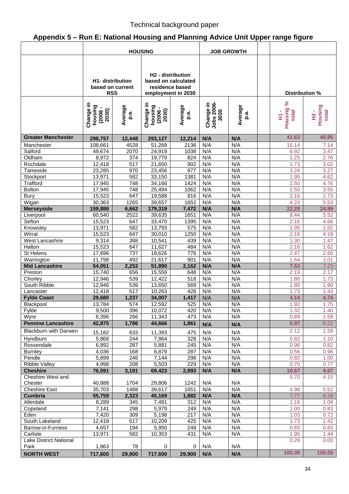# **Appendix 5 – Run E: National Housing and Planning Advice Unit Upper range figure**

|                                  | <b>HOUSING</b>                                            |                  |                                                     | <b>JOB GROWTH</b>                      |                                 |                 |                                  |                            |
|----------------------------------|-----------------------------------------------------------|------------------|-----------------------------------------------------|----------------------------------------|---------------------------------|-----------------|----------------------------------|----------------------------|
|                                  | <b>H1-</b> distribution<br>based on current<br><b>RSS</b> |                  | H <sub>2</sub> - distribution<br>employment in 2030 | based on calculated<br>residence based |                                 |                 | Distribution %                   |                            |
|                                  | Change in<br>housing<br>(0502)<br>(2006)                  | Average<br>p.a   | Change in<br>housing<br>$(2006 -$<br>$2030)$        | Average<br>p.a.                        | Change in<br>Jobs 2006-<br>2030 | Average<br>p.a. | ಸಿ<br>Housing<br>total<br>p<br>E | Housing<br>total<br>오<br>도 |
| <b>Greater Manchester</b>        | 298,757                                                   | 12,448           | 293,127                                             | 12,214                                 | N/A                             | N/A             | 41.63                            | 40.85                      |
| Manchester                       | 108,661                                                   | 4528             | 51,268                                              | 2136                                   | N/A                             | N/A             | 15.14                            | 7.14                       |
| Salford                          | 49,674                                                    | 2070             | 24,919                                              | 1038                                   | N/A                             | N/A             | 6.92                             | 3.47                       |
| Oldham                           | 8,972                                                     | 374              | 19,779                                              | 824                                    | N/A                             | N/A             | 1.25                             | 2.76                       |
| Rochdale                         | 12,418                                                    | 517              | 21,650                                              | 902                                    | N/A                             | N/A             | 1.73                             | 3.02                       |
| Tameside                         | 23,285                                                    | 970              | 23,456                                              | 977                                    | N/A                             | N/A             | 3.24                             | 3.27                       |
| Stockport                        | 13,971                                                    | 582              | 33,150                                              | 1381                                   | N/A                             | N/A             | 1.95                             | 4.62                       |
| Trafford                         | 17,945                                                    | 748              | 34,166                                              | 1424                                   | N/A                             | N/A             | 2.50                             | 4.76                       |
| <b>Bolton</b>                    | 17,945                                                    | 748              | 25,494                                              | 1062                                   | N/A                             | N/A             | 2.50                             | 3.55                       |
| <b>Bury</b>                      | 15,523                                                    | 647              | 19,588                                              | 816                                    | N/A                             | N/A             | 2.16                             | 2.73                       |
| Wigan                            | 30,363                                                    | 1265             | 39,657                                              | 1652                                   | N/A                             | N/A             | 4.23                             | 5.53                       |
| <b>Merseyside</b>                | 159,888                                                   | 6,662            | 179,319                                             | 7,472                                  | N/A                             | N/A             | 22.28                            | 24.99                      |
| Liverpool                        | 60,540                                                    | 2522             | 39,635                                              | 1651                                   | N/A                             | N/A             | 8.44                             | 5.52                       |
| Sefton                           | 15,523                                                    | 647              | 33,470                                              | 1395                                   | N/A                             | N/A             | 2.16                             | 4.66                       |
| Knowsley                         | 13,971                                                    | 582              | 13,793                                              | $\overline{575}$                       | N/A                             | N/A             | 1.95                             | 1.92                       |
| Wirral                           | 15,523                                                    | 647              | 30,010                                              | 1250                                   | N/A                             | N/A             | 2.16                             | 4.18                       |
| <b>West Lancashire</b>           | 9,314                                                     | 388              | 10,541                                              | 439                                    | N/A                             | N/A             | 1.30                             | 1.47                       |
| Halton                           | 15,523                                                    | 647              | 11,627                                              | 484                                    | N/A                             | N/A<br>N/A      | 2.16                             | 1.62                       |
| St Helens                        | 17,696                                                    | 737              | 18,626                                              | 776                                    | N/A                             |                 | 2.47                             | 2.60                       |
| Warrington                       | 11,798                                                    | 492              | 21,617                                              | 901<br>2,162                           | N/A<br>N/A                      | N/A<br>N/A      | 1.64                             | 3.01                       |
| <b>Mid Lancashire</b><br>Preston | 54,051<br>15,740                                          | 2,252<br>656     | 51,890<br>15,556                                    | 648                                    | N/A                             | N/A             | 7.53<br>2.19                     | 7.23<br>2.17               |
| Chorley                          | 12,946                                                    | 539              | 12,422                                              | 518                                    | N/A                             | N/A             | 1.80                             | 1.73                       |
| South Ribble                     | 12,946                                                    | 539              | 13,650                                              | 569                                    | N/A                             | N/A             | 1.80                             | 1.90                       |
| Lancaster                        | 12,418                                                    | $\overline{517}$ | 10,263                                              | 428                                    | N/A                             | N/A             | 1.73                             | 1.43                       |
| <b>Fylde Coast</b>               | 29,680                                                    | 1,237            | 34,007                                              | 1,417                                  | N/A                             | N/A             | 4.14                             | 4.74                       |
| Blackpool                        | 13,784                                                    | $\overline{574}$ | 12,592                                              | 525                                    | N/A                             | N/A             | 1.92                             | 1.75                       |
| Fylde                            | 9,500                                                     | 396              | 10,072                                              | 420                                    | N/A                             | N/A             | 1.32                             | 1.40                       |
| Wyre                             | 6,396                                                     | 266              | 11,343                                              | 473                                    | N/A                             | N/A             | 0.89                             | 1.58                       |
| <b>Pennine Lancashire</b>        | 42,875                                                    | 1,786            | 44,666                                              | 1,861                                  | N/A                             | N/A             | 5.97                             | 6.22                       |
| <b>Blackburn with Darwen</b>     |                                                           |                  |                                                     |                                        |                                 |                 | 2.12                             | 1.59                       |
|                                  | 15,182                                                    | 633              | 11,393                                              | 475                                    | N/A                             | N/A             |                                  |                            |
| Hyndburn                         | 5,868                                                     | 244              | 7,864                                               | 328                                    | N/A                             | N/A             | 0.82                             | 1.10                       |
| Rossendale                       | 6,892                                                     | 287              | 5,881                                               | 245                                    | N/A                             | N/A             | 0.96                             | 0.82                       |
| <b>Burnley</b><br>Pendle         | 4,036<br>5,899                                            | 168<br>246       | 6,879<br>7,144                                      | 287<br>298                             | N/A<br>N/A                      | N/A<br>N/A      | 0.56<br>0.82                     | 0.96                       |
| <b>Ribble Valley</b>             | 4,998                                                     | 208              | 5,503                                               | 229                                    | N/A                             | N/A             | 0.70                             | 1.00<br>0.77               |
| <b>Cheshire</b>                  | 76,591                                                    | 3,191            | 69,423                                              | 2,893                                  | N/A                             | N/A             | 10.67                            | 9.67                       |
| Cheshire West and                |                                                           |                  |                                                     |                                        |                                 |                 | 5.70                             | 4.15                       |
| Chester                          | 40,888                                                    | 1704             | 29,806                                              | 1242                                   | N/A                             | N/A             |                                  |                            |
| <b>Cheshire East</b>             | 35,703                                                    | 1488             | 39,617                                              | 1651                                   | N/A                             | N/A             | 4.98                             | 5.52                       |
| Cumbria                          | 55,759                                                    | 2,323            | 45,169                                              | 1,882                                  | N/A                             | N/A             | 7.77                             | 6.29                       |
| Allerdale                        | 8,289                                                     | 345              | 7,481                                               | 312                                    | N/A                             | N/A             | 1.16                             | 1.04                       |
| Copeland                         | 7,141                                                     | 298              | 5,979                                               | 249                                    | N/A                             | N/A             | 1.00                             | 0.83                       |
| Eden                             | 7,420                                                     | 309              | 5,198                                               | 217                                    | N/A                             | N/A             | 1.03                             | 0.72                       |
| South Lakeland                   | 12,418                                                    | 517              | 10,209                                              | 425                                    | N/A                             | N/A             | 1.73                             | 1.42                       |
| Barrow-in-Furness                | 4,657                                                     | 194              | 5,950                                               | 248                                    | N/A                             | N/A             | 0.65                             | 0.83                       |
| Carlisle                         | 13,971                                                    | 582              | 10,353                                              | 431                                    | N/A                             | N/A             | 1.95                             | 1.44                       |
| Lake District National           |                                                           |                  |                                                     |                                        |                                 |                 | 0.26                             | 0.00                       |
| Park                             | 1,863                                                     | 78               | $\mathbf 0$                                         | 0                                      | N/A                             | N/A             |                                  |                            |
| <b>NORTH WEST</b>                | 717,600                                                   | 29,900           | 717,600                                             | 29,900                                 | N/A                             | N/A             | 100.00                           | 100.00                     |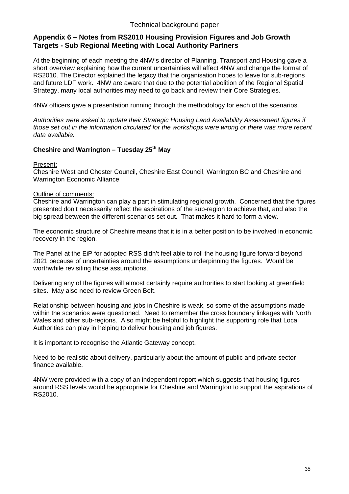#### **Appendix 6 – Notes from RS2010 Housing Provision Figures and Job Growth Targets - Sub Regional Meeting with Local Authority Partners**

At the beginning of each meeting the 4NW's director of Planning, Transport and Housing gave a short overview explaining how the current uncertainties will affect 4NW and change the format of RS2010. The Director explained the legacy that the organisation hopes to leave for sub-regions and future LDF work. 4NW are aware that due to the potential abolition of the Regional Spatial Strategy, many local authorities may need to go back and review their Core Strategies.

4NW officers gave a presentation running through the methodology for each of the scenarios.

*Authorities were asked to update their Strategic Housing Land Availability Assessment figures if those set out in the information circulated for the workshops were wrong or there was more recent data available.* 

#### Cheshire and Warrington – Tuesday 25<sup>th</sup> May

Present:

Cheshire West and Chester Council, Cheshire East Council, Warrington BC and Cheshire and Warrington Economic Alliance

#### Outline of comments:

Cheshire and Warrington can play a part in stimulating regional growth. Concerned that the figures presented don't necessarily reflect the aspirations of the sub-region to achieve that, and also the big spread between the different scenarios set out. That makes it hard to form a view.

The economic structure of Cheshire means that it is in a better position to be involved in economic recovery in the region.

The Panel at the EiP for adopted RSS didn't feel able to roll the housing figure forward beyond 2021 because of uncertainties around the assumptions underpinning the figures. Would be worthwhile revisiting those assumptions.

Delivering any of the figures will almost certainly require authorities to start looking at greenfield sites. May also need to review Green Belt.

Relationship between housing and jobs in Cheshire is weak, so some of the assumptions made within the scenarios were questioned. Need to remember the cross boundary linkages with North Wales and other sub-regions. Also might be helpful to highlight the supporting role that Local Authorities can play in helping to deliver housing and job figures.

It is important to recognise the Atlantic Gateway concept.

Need to be realistic about delivery, particularly about the amount of public and private sector finance available.

4NW were provided with a copy of an independent report which suggests that housing figures around RSS levels would be appropriate for Cheshire and Warrington to support the aspirations of RS2010.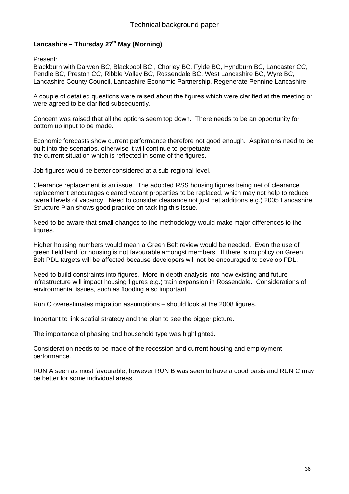#### Lancashire – Thursday 27<sup>th</sup> May (Morning)

Present:

Blackburn with Darwen BC, Blackpool BC , Chorley BC, Fylde BC, Hyndburn BC, Lancaster CC, Pendle BC, Preston CC, Ribble Valley BC, Rossendale BC, West Lancashire BC, Wyre BC, Lancashire County Council, Lancashire Economic Partnership, Regenerate Pennine Lancashire

A couple of detailed questions were raised about the figures which were clarified at the meeting or were agreed to be clarified subsequently.

Concern was raised that all the options seem top down. There needs to be an opportunity for bottom up input to be made.

Economic forecasts show current performance therefore not good enough. Aspirations need to be built into the scenarios, otherwise it will continue to perpetuate the current situation which is reflected in some of the figures.

Job figures would be better considered at a sub-regional level.

Clearance replacement is an issue. The adopted RSS housing figures being net of clearance replacement encourages cleared vacant properties to be replaced, which may not help to reduce overall levels of vacancy. Need to consider clearance not just net additions e.g.) 2005 Lancashire Structure Plan shows good practice on tackling this issue.

Need to be aware that small changes to the methodology would make major differences to the figures.

Higher housing numbers would mean a Green Belt review would be needed. Even the use of green field land for housing is not favourable amongst members. If there is no policy on Green Belt PDL targets will be affected because developers will not be encouraged to develop PDL.

Need to build constraints into figures. More in depth analysis into how existing and future infrastructure will impact housing figures e.g.) train expansion in Rossendale. Considerations of environmental issues, such as flooding also important.

Run C overestimates migration assumptions – should look at the 2008 figures.

Important to link spatial strategy and the plan to see the bigger picture.

The importance of phasing and household type was highlighted.

Consideration needs to be made of the recession and current housing and employment performance.

RUN A seen as most favourable, however RUN B was seen to have a good basis and RUN C may be better for some individual areas.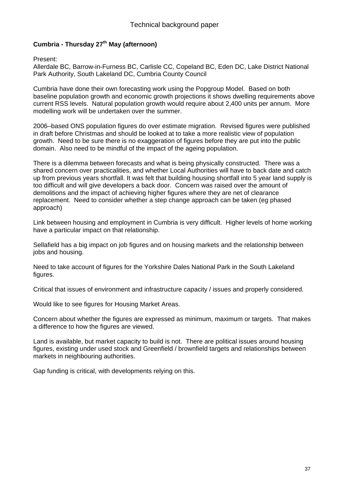#### **Cumbria - Thursday 27th May (afternoon)**

Present:

Allerdale BC, Barrow-in-Furness BC, Carlisle CC, Copeland BC, Eden DC, Lake District National Park Authority, South Lakeland DC, Cumbria County Council

Cumbria have done their own forecasting work using the Popgroup Model. Based on both baseline population growth and economic growth projections it shows dwelling requirements above current RSS levels. Natural population growth would require about 2,400 units per annum. More modelling work will be undertaken over the summer.

2006–based ONS population figures do over estimate migration. Revised figures were published in draft before Christmas and should be looked at to take a more realistic view of population growth. Need to be sure there is no exaggeration of figures before they are put into the public domain. Also need to be mindful of the impact of the ageing population.

There is a dilemma between forecasts and what is being physically constructed. There was a shared concern over practicalities, and whether Local Authorities will have to back date and catch up from previous years shortfall. It was felt that building housing shortfall into 5 year land supply is too difficult and will give developers a back door. Concern was raised over the amount of demolitions and the impact of achieving higher figures where they are net of clearance replacement. Need to consider whether a step change approach can be taken (eg phased approach)

Link between housing and employment in Cumbria is very difficult. Higher levels of home working have a particular impact on that relationship.

Sellafield has a big impact on job figures and on housing markets and the relationship between jobs and housing.

Need to take account of figures for the Yorkshire Dales National Park in the South Lakeland figures.

Critical that issues of environment and infrastructure capacity / issues and properly considered.

Would like to see figures for Housing Market Areas.

Concern about whether the figures are expressed as minimum, maximum or targets. That makes a difference to how the figures are viewed.

Land is available, but market capacity to build is not. There are political issues around housing figures, existing under used stock and Greenfield / brownfield targets and relationships between markets in neighbouring authorities.

Gap funding is critical, with developments relying on this.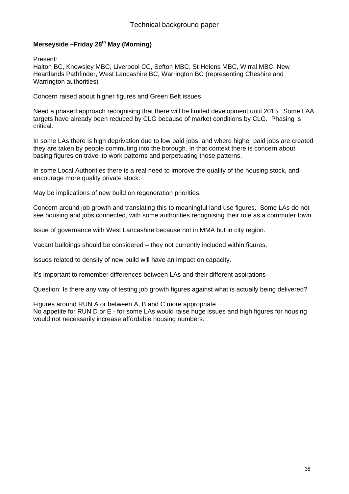#### **Merseyside –Friday 28th May (Morning)**

Present:

Halton BC, Knowsley MBC, Liverpool CC, Sefton MBC, St Helens MBC, Wirral MBC, New Heartlands Pathfinder, West Lancashire BC, Warrington BC (representing Cheshire and Warrington authorities)

Concern raised about higher figures and Green Belt issues

Need a phased approach recognising that there will be limited development until 2015. Some LAA targets have already been reduced by CLG because of market conditions by CLG. Phasing is critical.

In some LAs there is high deprivation due to low paid jobs, and where higher paid jobs are created they are taken by people commuting into the borough. In that context there is concern about basing figures on travel to work patterns and perpetuating those patterns.

In some Local Authorities there is a real need to improve the quality of the housing stock, and encourage more quality private stock.

May be implications of new build on regeneration priorities.

Concern around job growth and translating this to meaningful land use figures. Some LAs do not see housing and jobs connected, with some authorities recognising their role as a commuter town.

Issue of governance with West Lancashire because not in MMA but in city region.

Vacant buildings should be considered – they not currently included within figures.

Issues related to density of new build will have an impact on capacity.

It's important to remember differences between LAs and their different aspirations

Question: Is there any way of testing job growth figures against what is actually being delivered?

Figures around RUN A or between A, B and C more appropriate No appetite for RUN D or E - for some LAs would raise huge issues and high figures for housing would not necessarily increase affordable housing numbers.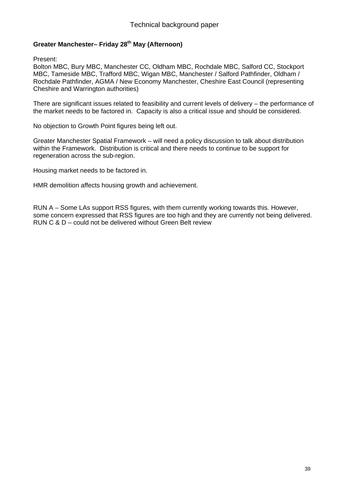#### **Greater Manchester– Friday 28th May (Afternoon)**

Present:

Bolton MBC, Bury MBC, Manchester CC, Oldham MBC, Rochdale MBC, Salford CC, Stockport MBC, Tameside MBC, Trafford MBC, Wigan MBC, Manchester / Salford Pathfinder, Oldham / Rochdale Pathfinder, AGMA / New Economy Manchester, Cheshire East Council (representing Cheshire and Warrington authorities)

There are significant issues related to feasibility and current levels of delivery – the performance of the market needs to be factored in. Capacity is also a critical issue and should be considered.

No objection to Growth Point figures being left out.

Greater Manchester Spatial Framework – will need a policy discussion to talk about distribution within the Framework. Distribution is critical and there needs to continue to be support for regeneration across the sub-region.

Housing market needs to be factored in.

HMR demolition affects housing growth and achievement.

RUN A – Some LAs support RSS figures, with them currently working towards this. However, some concern expressed that RSS figures are too high and they are currently not being delivered. RUN C & D – could not be delivered without Green Belt review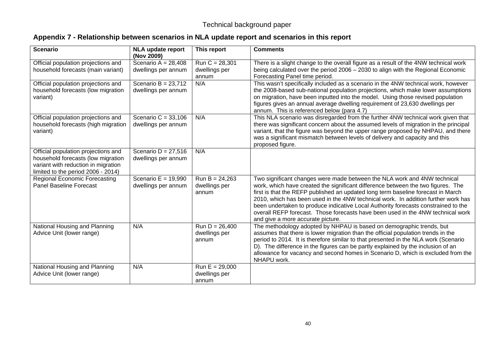## **Appendix 7 - Relationship between scenarios in NLA update report and scenarios in this report**

| <b>Scenario</b>                                                                                                                                        | <b>NLA update report</b><br>(Nov 2009)       | This report                                | <b>Comments</b>                                                                                                                                                                                                                                                                                                                                                                                                                                                                                                                                     |
|--------------------------------------------------------------------------------------------------------------------------------------------------------|----------------------------------------------|--------------------------------------------|-----------------------------------------------------------------------------------------------------------------------------------------------------------------------------------------------------------------------------------------------------------------------------------------------------------------------------------------------------------------------------------------------------------------------------------------------------------------------------------------------------------------------------------------------------|
| Official population projections and<br>household forecasts (main variant)                                                                              | Scenario A = $28,408$<br>dwellings per annum | $Run C = 28,301$<br>dwellings per<br>annum | There is a slight change to the overall figure as a result of the 4NW technical work<br>being calculated over the period $2006 - 2030$ to align with the Regional Economic<br>Forecasting Panel time period.                                                                                                                                                                                                                                                                                                                                        |
| Official population projections and<br>household forecasts (low migration<br>variant)                                                                  | Scenario B = $23,712$<br>dwellings per annum | N/A                                        | This wasn't specifically included as a scenario in the 4NW technical work, however<br>the 2008-based sub-national population projections, which make lower assumptions<br>on migration, have been inputted into the model. Using those revised population<br>figures gives an annual average dwelling requirement of 23,630 dwellings per<br>annum. This is referenced below (para 4.7)                                                                                                                                                             |
| Official population projections and<br>household forecasts (high migration<br>variant)                                                                 | Scenario C = $33,106$<br>dwellings per annum | N/A                                        | This NLA scenario was disregarded from the further 4NW technical work given that<br>there was significant concern about the assumed levels of migration in the principal<br>variant, that the figure was beyond the upper range proposed by NHPAU, and there<br>was a significant mismatch between levels of delivery and capacity and this<br>proposed figure.                                                                                                                                                                                     |
| Official population projections and<br>household forecasts (low migration<br>variant with reduction in migration<br>limited to the period 2006 - 2014) | Scenario D = $27,516$<br>dwellings per annum | N/A                                        |                                                                                                                                                                                                                                                                                                                                                                                                                                                                                                                                                     |
| <b>Regional Economic Forecasting</b><br><b>Panel Baseline Forecast</b>                                                                                 | Scenario E = $19,990$<br>dwellings per annum | $Run B = 24,263$<br>dwellings per<br>annum | Two significant changes were made between the NLA work and 4NW technical<br>work, which have created the significant difference between the two figures. The<br>first is that the REFP published an updated long term baseline forecast in March<br>2010, which has been used in the 4NW technical work. In addition further work has<br>been undertaken to produce indicative Local Authority forecasts constrained to the<br>overall REFP forecast. Those forecasts have been used in the 4NW technical work<br>and give a more accurate picture. |
| National Housing and Planning<br>Advice Unit (lower range)                                                                                             | N/A                                          | $Run D = 26,400$<br>dwellings per<br>annum | The methodology adopted by NHPAU is based on demographic trends, but<br>assumes that there is lower migration than the official population trends in the<br>period to 2014. It is therefore similar to that presented in the NLA work (Scenario<br>D). The difference in the figures can be partly explained by the inclusion of an<br>allowance for vacancy and second homes in Scenario D, which is excluded from the<br>NHAPU work.                                                                                                              |
| National Housing and Planning<br>Advice Unit (lower range)                                                                                             | N/A                                          | $Run E = 29,000$<br>dwellings per<br>annum |                                                                                                                                                                                                                                                                                                                                                                                                                                                                                                                                                     |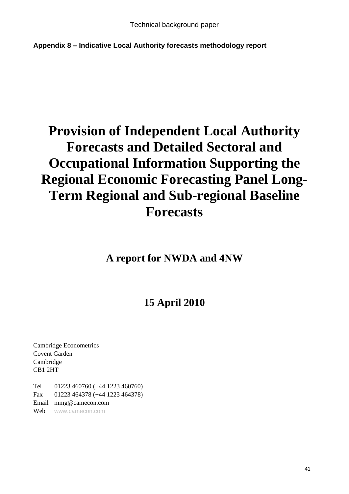**Appendix 8 – Indicative Local Authority forecasts methodology report** 

# **Provision of Independent Local Authority Forecasts and Detailed Sectoral and Occupational Information Supporting the Regional Economic Forecasting Panel Long-Term Regional and Sub-regional Baseline Forecasts**

**A report for NWDA and 4NW** 

# **15 April 2010**

Cambridge Econometrics Covent Garden Cambridge CB1 2HT

Tel 01223 460760 (+44 1223 460760) Fax 01223 464378 (+44 1223 464378) Email mmg@camecon.com Web www.camecon.com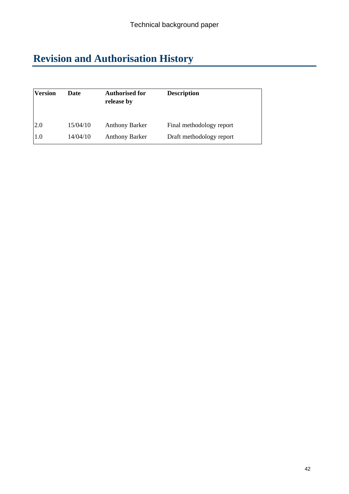# **Revision and Authorisation History**

| <b>Version</b> | <b>Date</b> | <b>Authorised for</b><br>release by | <b>Description</b>       |
|----------------|-------------|-------------------------------------|--------------------------|
| <b>2.0</b>     | 15/04/10    | <b>Anthony Barker</b>               | Final methodology report |
| 1.0            | 14/04/10    | <b>Anthony Barker</b>               | Draft methodology report |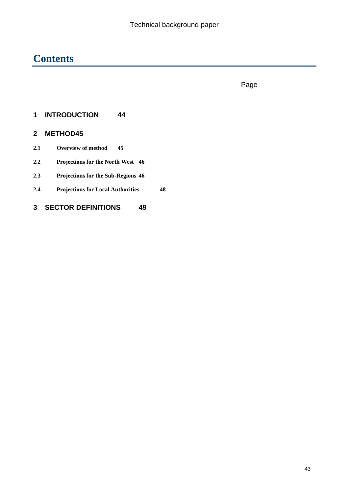# **Contents**

in the contract of the contract of the contract of the contract of the contract of the contract of the contract of the contract of the contract of the contract of the contract of the contract of the contract of the contrac

## **1 INTRODUCTION 44**

## **2 METHOD45**

- **2.1 Overview of method 45**
- **2.2 Projections for the North West 46**
- **2.3 Projections for the Sub-Regions 46**
- **2.4 Projections for Local Authorities 48**

## **3 SECTOR DEFINITIONS 49**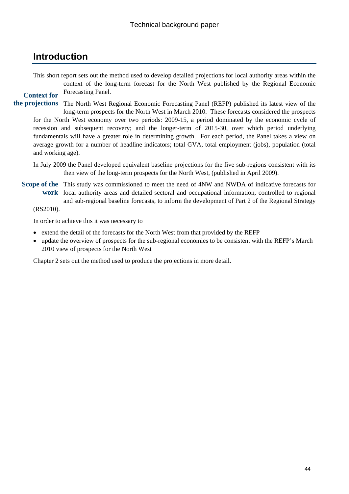## **Introduction**

This short report sets out the method used to develop detailed projections for local authority areas within the context of the long-term forecast for the North West published by the Regional Economic Forecasting Panel. **Context for** 

the projections The North West Regional Economic Forecasting Panel (REFP) published its latest view of the long-term prospects for the North West in March 2010. These forecasts considered the prospects for the North West economy over two periods: 2009-15, a period dominated by the economic cycle of recession and subsequent recovery; and the longer-term of 2015-30, over which period underlying fundamentals will have a greater role in determining growth. For each period, the Panel takes a view on average growth for a number of headline indicators; total GVA, total employment (jobs), population (total and working age).

In July 2009 the Panel developed equivalent baseline projections for the five sub-regions consistent with its then view of the long-term prospects for the North West, (published in April 2009).

Scope of the This study was commissioned to meet the need of 4NW and NWDA of indicative forecasts for work local authority areas and detailed sectoral and occupational information, controlled to regional and sub-regional baseline forecasts, to inform the development of Part 2 of the Regional Strategy (RS2010).

In order to achieve this it was necessary to

- extend the detail of the forecasts for the North West from that provided by the REFP
- update the overview of prospects for the sub-regional economies to be consistent with the REFP's March 2010 view of prospects for the North West

Chapter 2 sets out the method used to produce the projections in more detail.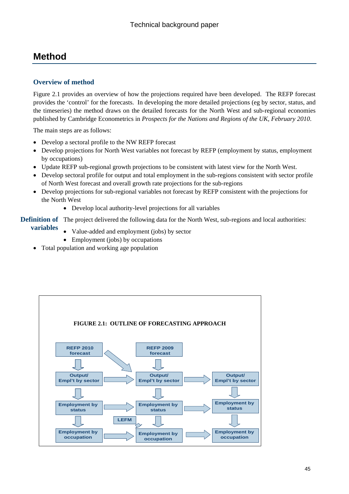# **Method**

#### **Overview of method**

Figure 2.1 provides an overview of how the projections required have been developed. The REFP forecast provides the 'control' for the forecasts. In developing the more detailed projections (eg by sector, status, and the timeseries) the method draws on the detailed forecasts for the North West and sub-regional economies published by Cambridge Econometrics in *Prospects for the Nations and Regions of the UK, February 2010*.

The main steps are as follows:

- Develop a sectoral profile to the NW REFP forecast
- Develop projections for North West variables not forecast by REFP (employment by status, employment by occupations)
- Update REFP sub-regional growth projections to be consistent with latest view for the North West.
- Develop sectoral profile for output and total employment in the sub-regions consistent with sector profile of North West forecast and overall growth rate projections for the sub-regions
- Develop projections for sub-regional variables not forecast by REFP consistent with the projections for the North West
	- Develop local authority-level projections for all variables

**Definition of** The project delivered the following data for the North West, sub-regions and local authorities:

- **variables** 
	- Value-added and employment (jobs) by sector
	- Employment (jobs) by occupations
- Total population and working age population

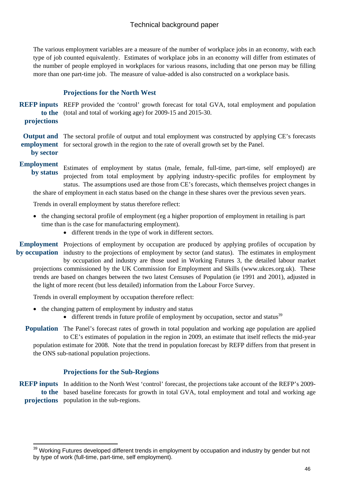The various employment variables are a measure of the number of workplace jobs in an economy, with each type of job counted equivalently. Estimates of workplace jobs in an economy will differ from estimates of the number of people employed in workplaces for various reasons, including that one person may be filling more than one part-time job. The measure of value-added is also constructed on a workplace basis.

#### **Projections for the North West**

REFP inputs REFP provided the 'control' growth forecast for total GVA, total employment and population to the (total and total of working age) for 2009-15 and 2015-30. **projections** 

Output and The sectoral profile of output and total employment was constructed by applying CE's forecasts employment for sectoral growth in the region to the rate of overall growth set by the Panel. **by sector** 

#### **Employment**

 $\overline{a}$ 

Estimates of employment by status (male, female, full-time, part-time, self employed) are projected from total employment by applying industry-specific profiles for employment by status. The assumptions used are those from CE's forecasts, which themselves project changes in **by status** 

the share of employment in each status based on the change in these shares over the previous seven years.

Trends in overall employment by status therefore reflect:

- the changing sectoral profile of employment (eg a higher proportion of employment in retailing is part time than is the case for manufacturing employment).
	- different trends in the type of work in different sectors.

Employment Projections of employment by occupation are produced by applying profiles of occupation by by occupation industry to the projections of employment by sector (and status). The estimates in employment by occupation and industry are those used in Working Futures 3, the detailed labour market

projections commissioned by the UK Commission for Employment and Skills (www.ukces.org.uk). These trends are based on changes between the two latest Censuses of Population (ie 1991 and 2001), adjusted in the light of more recent (but less detailed) information from the Labour Force Survey.

Trends in overall employment by occupation therefore reflect:

- the changing pattern of employment by industry and status
	- $\bullet$  different trends in future profile of employment by occupation, sector and status $^{39}$

Population The Panel's forecast rates of growth in total population and working age population are applied to CE's estimates of population in the region in 2009, an estimate that itself reflects the mid-year population estimate for 2008. Note that the trend in population forecast by REFP differs from that present in the ONS sub-national population projections.

#### **Projections for the Sub-Regions**

REFP inputs In addition to the North West 'control' forecast, the projections take account of the REFP's 2009to the based baseline forecasts for growth in total GVA, total employment and total and working age projections population in the sub-regions.

<sup>&</sup>lt;sup>39</sup> Working Futures developed different trends in employment by occupation and industry by gender but not by type of work (full-time, part-time, self employment).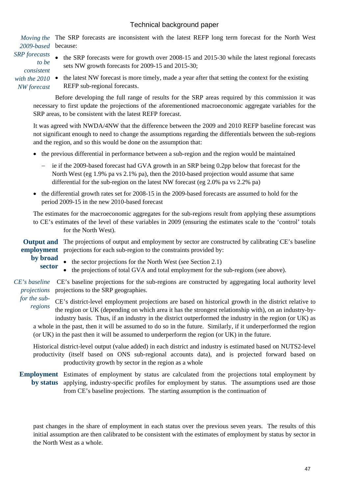Moving the The SRP forecasts are inconsistent with the latest REFP long term forecast for the North West because: *2009-based* 

*SRP forecasts to be consistent with the 2010 NW forecast* 

the SRP forecasts were for growth over 2008-15 and 2015-30 while the latest regional forecasts sets NW growth forecasts for 2009-15 and 2015-30;

• the latest NW forecast is more timely, made a year after that setting the context for the existing REFP sub-regional forecasts.

Before developing the full range of results for the SRP areas required by this commission it was necessary to first update the projections of the aforementioned macroeconomic aggregate variables for the SRP areas, to be consistent with the latest REFP forecast.

It was agreed with NWDA/4NW that the difference between the 2009 and 2010 REFP baseline forecast was not significant enough to need to change the assumptions regarding the differentials between the sub-regions and the region, and so this would be done on the assumption that:

- the previous differential in performance between a sub-region and the region would be maintained
	- ie if the 2009-based forecast had GVA growth in an SRP being 0.2pp below that forecast for the North West (eg 1.9% pa vs 2.1% pa), then the 2010-based projection would assume that same differential for the sub-region on the latest NW forecast (eg 2.0% pa vs 2.2% pa)
- the differential growth rates set for 2008-15 in the 2009-based forecasts are assumed to hold for the period 2009-15 in the new 2010-based forecast

The estimates for the macroeconomic aggregates for the sub-regions result from applying these assumptions to CE's estimates of the level of these variables in 2009 (ensuring the estimates scale to the 'control' totals for the North West).

Output and The projections of output and employment by sector are constructed by calibrating CE's baseline employment projections for each sub-region to the constraints provided by:

- **by broad** 
	- the sector projections for the North West (see Section 2.1)
	- the projections of total GVA and total employment for the sub-regions (see above). **sector**

CE's baseline CE's baseline projections for the sub-regions are constructed by aggregating local authority level projections to the SRP geographies. *projections* 

CE's district-level employment projections are based on historical growth in the district relative to the region or UK (depending on which area it has the strongest relationship with), on an industry-byindustry basis. Thus, if an industry in the district outperformed the industry in the region (or UK) as *for the subregions* 

a whole in the past, then it will be assumed to do so in the future. Similarly, if it underperformed the region (or UK) in the past then it will be assumed to underperform the region (or UK) in the future.

Historical district-level output (value added) in each district and industry is estimated based on NUTS2-level productivity (itself based on ONS sub-regional accounts data), and is projected forward based on productivity growth by sector in the region as a whole

Employment Estimates of employment by status are calculated from the projections total employment by applying, industry-specific profiles for employment by status. The assumptions used are those from CE's baseline projections. The starting assumption is the continuation of **by status** 

past changes in the share of employment in each status over the previous seven years. The results of this initial assumption are then calibrated to be consistent with the estimates of employment by status by sector in the North West as a whole.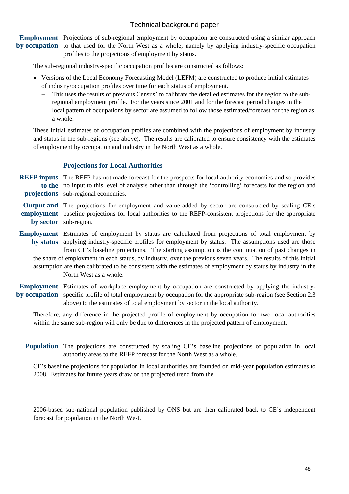Employment Projections of sub-regional employment by occupation are constructed using a similar approach by occupation to that used for the North West as a whole; namely by applying industry-specific occupation profiles to the projections of employment by status.

The sub-regional industry-specific occupation profiles are constructed as follows:

- Versions of the Local Economy Forecasting Model (LEFM) are constructed to produce initial estimates of industry/occupation profiles over time for each status of employment.
	- − This uses the results of previous Census' to calibrate the detailed estimates for the region to the subregional employment profile. For the years since 2001 and for the forecast period changes in the local pattern of occupations by sector are assumed to follow those estimated/forecast for the region as a whole.

These initial estimates of occupation profiles are combined with the projections of employment by industry and status in the sub-regions (see above). The results are calibrated to ensure consistency with the estimates of employment by occupation and industry in the North West as a whole.

#### **Projections for Local Authorities**

REFP inputs The REFP has not made forecast for the prospects for local authority economies and so provides to the no input to this level of analysis other than through the 'controlling' forecasts for the region and projections sub-regional economies.

Output and The projections for employment and value-added by sector are constructed by scaling CE's employment baseline projections for local authorities to the REFP-consistent projections for the appropriate by sector sub-region.

- Employment Estimates of employment by status are calculated from projections of total employment by by status applying industry-specific profiles for employment by status. The assumptions used are those from CE's baseline projections. The starting assumption is the continuation of past changes in the share of employment in each status, by industry, over the previous seven years. The results of this initial assumption are then calibrated to be consistent with the estimates of employment by status by industry in the North West as a whole.
- Employment Estimates of workplace employment by occupation are constructed by applying the industryby occupation specific profile of total employment by occupation for the appropriate sub-region (see Section 2.3 above) to the estimates of total employment by sector in the local authority.

Therefore, any difference in the projected profile of employment by occupation for two local authorities within the same sub-region will only be due to differences in the projected pattern of employment.

Population The projections are constructed by scaling CE's baseline projections of population in local authority areas to the REFP forecast for the North West as a whole.

CE's baseline projections for population in local authorities are founded on mid-year population estimates to 2008. Estimates for future years draw on the projected trend from the

2006-based sub-national population published by ONS but are then calibrated back to CE's independent forecast for population in the North West.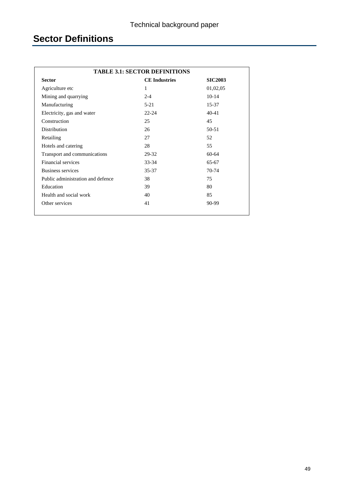# **Sector Definitions**

| <b>TABLE 3.1: SECTOR DEFINITIONS</b>                    |           |           |  |  |  |  |  |
|---------------------------------------------------------|-----------|-----------|--|--|--|--|--|
| <b>Sector</b><br><b>CE</b> Industries<br><b>SIC2003</b> |           |           |  |  |  |  |  |
| Agriculture etc                                         | 1         | 01,02,05  |  |  |  |  |  |
| Mining and quarrying                                    | $2 - 4$   | $10 - 14$ |  |  |  |  |  |
| Manufacturing                                           | $5 - 21$  | 15-37     |  |  |  |  |  |
| Electricity, gas and water                              | $22 - 24$ | $40 - 41$ |  |  |  |  |  |
| Construction                                            | 25        | 45        |  |  |  |  |  |
| <b>Distribution</b>                                     | 26        | 50-51     |  |  |  |  |  |
| Retailing                                               | 27        | 52        |  |  |  |  |  |
| Hotels and catering                                     | 28        | 55        |  |  |  |  |  |
| Transport and communications                            | 29-32     | $60 - 64$ |  |  |  |  |  |
| Financial services                                      | $33 - 34$ | 65-67     |  |  |  |  |  |
| <b>Business services</b>                                | $35 - 37$ | $70-74$   |  |  |  |  |  |
| Public administration and defence                       | 38        | 75        |  |  |  |  |  |
| Education                                               | 39        | 80        |  |  |  |  |  |
| Health and social work                                  | 40        | 85        |  |  |  |  |  |
| Other services                                          | 41        | 90-99     |  |  |  |  |  |